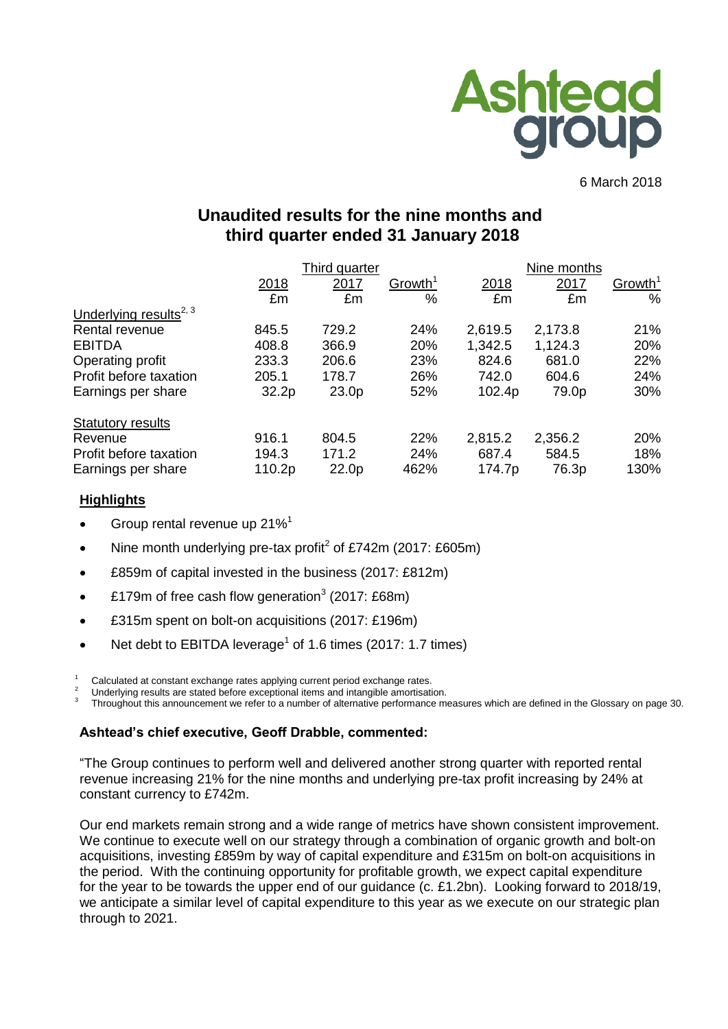

6 March 2018

# **Unaudited results for the nine months and third quarter ended 31 January 2018**

|                                    |                   | Third quarter     |                     |         | Nine months |                     |
|------------------------------------|-------------------|-------------------|---------------------|---------|-------------|---------------------|
|                                    | 2018              | 2017              | Growth <sup>1</sup> | 2018    | 2017        | Growth <sup>1</sup> |
|                                    | £m                | £m                | %                   | £m      | £m          | $\%$                |
| Underlying results <sup>2, 3</sup> |                   |                   |                     |         |             |                     |
| Rental revenue                     | 845.5             | 729.2             | 24%                 | 2,619.5 | 2,173.8     | 21%                 |
| <b>EBITDA</b>                      | 408.8             | 366.9             | 20%                 | 1,342.5 | 1,124.3     | 20%                 |
| Operating profit                   | 233.3             | 206.6             | 23%                 | 824.6   | 681.0       | 22%                 |
| Profit before taxation             | 205.1             | 178.7             | 26%                 | 742.0   | 604.6       | 24%                 |
| Earnings per share                 | 32.2 <sub>p</sub> | 23.0 <sub>p</sub> | 52%                 | 102.4p  | 79.0p       | 30%                 |
| <b>Statutory results</b>           |                   |                   |                     |         |             |                     |
| Revenue                            | 916.1             | 804.5             | 22%                 | 2,815.2 | 2,356.2     | 20%                 |
| Profit before taxation             | 194.3             | 171.2             | 24%                 | 687.4   | 584.5       | 18%                 |
| Earnings per share                 | 110.2p            | 22.0p             | 462%                | 174.7p  | 76.3p       | 130%                |

# **Highlights**

- Group rental revenue up 21%<sup>1</sup>
- Nine month underlying pre-tax profit<sup>2</sup> of £742m (2017: £605m)
- £859m of capital invested in the business (2017: £812m)
- £179m of free cash flow generation<sup>3</sup> (2017: £68m)
- £315m spent on bolt-on acquisitions (2017: £196m)
- Net debt to EBITDA leverage<sup>1</sup> of 1.6 times (2017: 1.7 times)

Calculated at constant exchange rates applying current period exchange rates.

<sup>2</sup> Underlying results are stated before exceptional items and intangible amortisation.<br><sup>3</sup> Throughout this appeupament us refer to a number of elternative performance m

Throughout this announcement we refer to a number of alternative performance measures which are defined in the Glossary on page 30.

## **Ashtead's chief executive, Geoff Drabble, commented:**

"The Group continues to perform well and delivered another strong quarter with reported rental revenue increasing 21% for the nine months and underlying pre-tax profit increasing by 24% at constant currency to £742m.

Our end markets remain strong and a wide range of metrics have shown consistent improvement. We continue to execute well on our strategy through a combination of organic growth and bolt-on acquisitions, investing £859m by way of capital expenditure and £315m on bolt-on acquisitions in the period. With the continuing opportunity for profitable growth, we expect capital expenditure for the year to be towards the upper end of our guidance (c. £1.2bn). Looking forward to 2018/19, we anticipate a similar level of capital expenditure to this year as we execute on our strategic plan through to 2021.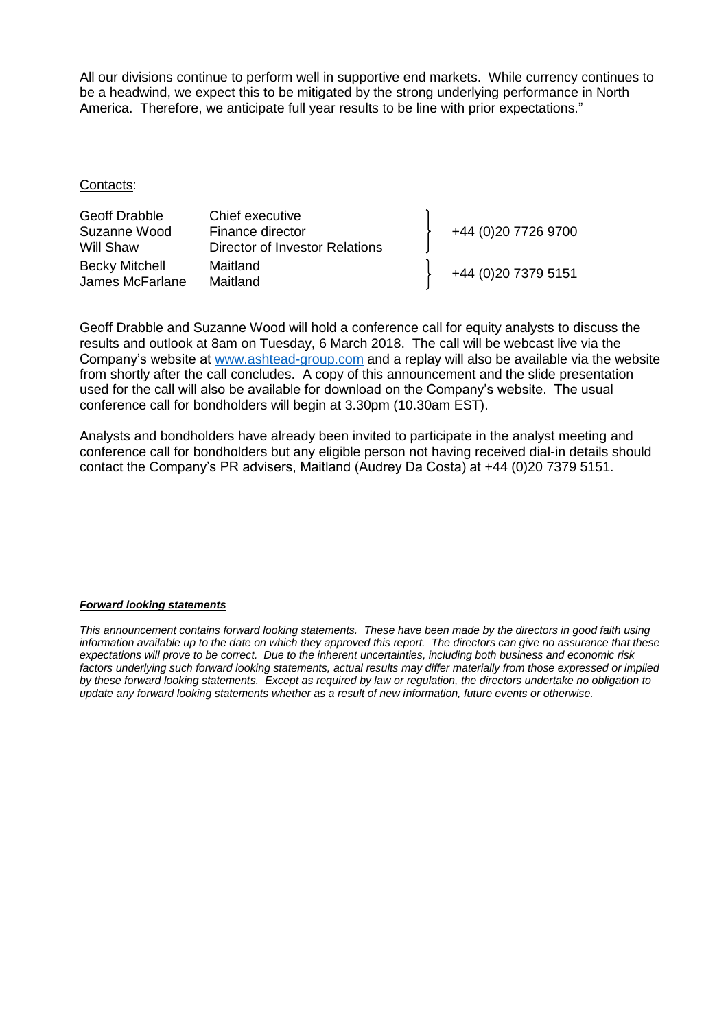All our divisions continue to perform well in supportive end markets. While currency continues to be a headwind, we expect this to be mitigated by the strong underlying performance in North America. Therefore, we anticipate full year results to be line with prior expectations."

#### Contacts:

| Geoff Drabble<br>Suzanne Wood            | Chief executive<br>Finance director | +44 (0)20 7726 9700 |
|------------------------------------------|-------------------------------------|---------------------|
| Will Shaw                                | Director of Investor Relations      |                     |
| <b>Becky Mitchell</b><br>James McFarlane | Maitland<br>Maitland                | +44 (0)20 7379 5151 |

Geoff Drabble and Suzanne Wood will hold a conference call for equity analysts to discuss the results and outlook at 8am on Tuesday, 6 March 2018. The call will be webcast live via the Company's website at [www.ashtead-group.com](http://www.ashtead-group.com/) and a replay will also be available via the website from shortly after the call concludes. A copy of this announcement and the slide presentation used for the call will also be available for download on the Company's website. The usual conference call for bondholders will begin at 3.30pm (10.30am EST).

Analysts and bondholders have already been invited to participate in the analyst meeting and conference call for bondholders but any eligible person not having received dial-in details should contact the Company's PR advisers, Maitland (Audrey Da Costa) at +44 (0)20 7379 5151.

#### *Forward looking statements*

*This announcement contains forward looking statements. These have been made by the directors in good faith using information available up to the date on which they approved this report. The directors can give no assurance that these expectations will prove to be correct. Due to the inherent uncertainties, including both business and economic risk factors underlying such forward looking statements, actual results may differ materially from those expressed or implied by these forward looking statements. Except as required by law or regulation, the directors undertake no obligation to update any forward looking statements whether as a result of new information, future events or otherwise.*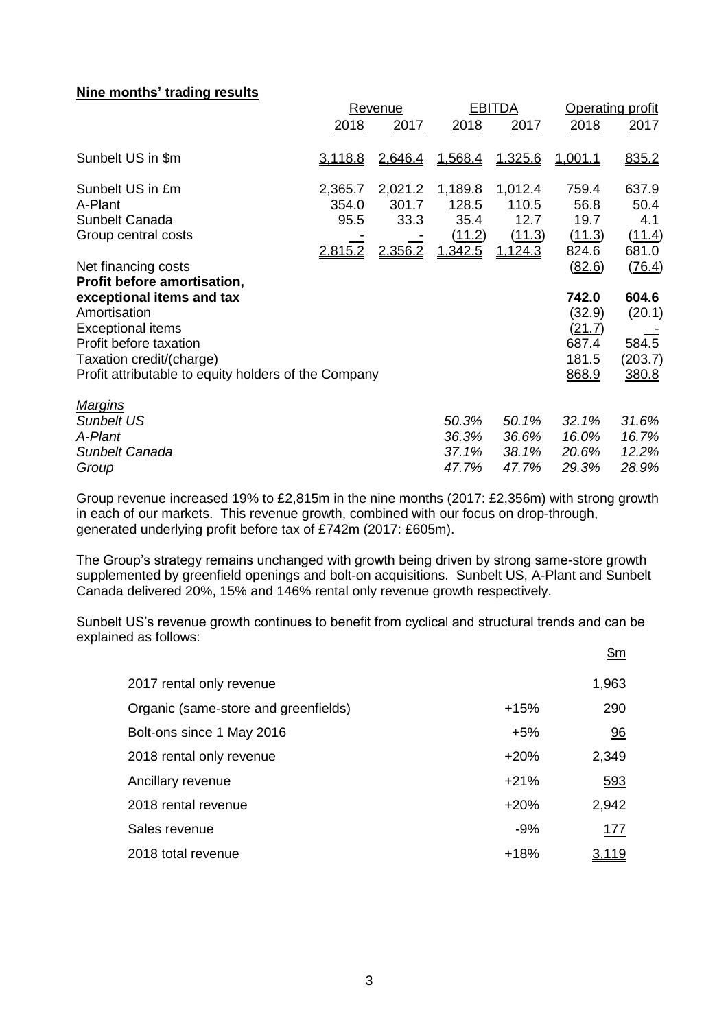## **Nine months' trading results**

|                                                                                                                                                                                                                                           | Revenue                                    |                                     |                                               | <b>EBITDA</b>                                 | <b>Operating profit</b>                                               |                                                        |
|-------------------------------------------------------------------------------------------------------------------------------------------------------------------------------------------------------------------------------------------|--------------------------------------------|-------------------------------------|-----------------------------------------------|-----------------------------------------------|-----------------------------------------------------------------------|--------------------------------------------------------|
|                                                                                                                                                                                                                                           | 2018                                       | 2017                                | 2018                                          | 2017                                          | 2018                                                                  | 2017                                                   |
| Sunbelt US in \$m                                                                                                                                                                                                                         | <u>3,118.8</u>                             | 2,646.4                             | 1.568.4                                       | 1.325.6                                       | 1.001.1                                                               | 835.2                                                  |
| Sunbelt US in £m<br>A-Plant<br>Sunbelt Canada<br>Group central costs                                                                                                                                                                      | 2,365.7<br>354.0<br>95.5<br><u>2.815.2</u> | 2,021.2<br>301.7<br>33.3<br>2,356.2 | 1,189.8<br>128.5<br>35.4<br>(11.2)<br>1,342.5 | 1,012.4<br>110.5<br>12.7<br>(11.3)<br>1.124.3 | 759.4<br>56.8<br>19.7<br>(11.3)<br>824.6                              | 637.9<br>50.4<br>4.1<br>(11.4)<br>681.0                |
| Net financing costs<br>Profit before amortisation,<br>exceptional items and tax<br>Amortisation<br><b>Exceptional items</b><br>Profit before taxation<br>Taxation credit/(charge)<br>Profit attributable to equity holders of the Company |                                            |                                     |                                               |                                               | (82.6)<br>742.0<br>(32.9)<br>(21.7)<br>687.4<br><u>181.5</u><br>868.9 | (76.4)<br>604.6<br>(20.1)<br>584.5<br>(203.7)<br>380.8 |
| <b>Margins</b><br><b>Sunbelt US</b><br>A-Plant<br>Sunbelt Canada<br>Group                                                                                                                                                                 |                                            |                                     | 50.3%<br>36.3%<br>37.1%<br>47.7%              | 50.1%<br>36.6%<br>38.1%<br>47.7%              | 32.1%<br>16.0%<br>20.6%<br>29.3%                                      | 31.6%<br>16.7%<br>12.2%<br>28.9%                       |

Group revenue increased 19% to £2,815m in the nine months (2017: £2,356m) with strong growth in each of our markets. This revenue growth, combined with our focus on drop-through, generated underlying profit before tax of £742m (2017: £605m).

The Group's strategy remains unchanged with growth being driven by strong same-store growth supplemented by greenfield openings and bolt-on acquisitions. Sunbelt US, A-Plant and Sunbelt Canada delivered 20%, 15% and 146% rental only revenue growth respectively.

Sunbelt US's revenue growth continues to benefit from cyclical and structural trends and can be explained as follows:  $\mathbf{\hat{E}}$ m

|                                      |        | <u> דווקר</u> |
|--------------------------------------|--------|---------------|
| 2017 rental only revenue             |        | 1,963         |
| Organic (same-store and greenfields) | $+15%$ | 290           |
| Bolt-ons since 1 May 2016            | $+5%$  | 96            |
| 2018 rental only revenue             | $+20%$ | 2,349         |
| Ancillary revenue                    | $+21%$ | 593           |
| 2018 rental revenue                  | $+20%$ | 2,942         |
| Sales revenue                        | $-9%$  | <u> 177</u>   |
| 2018 total revenue                   | $+18%$ | <u>3,119</u>  |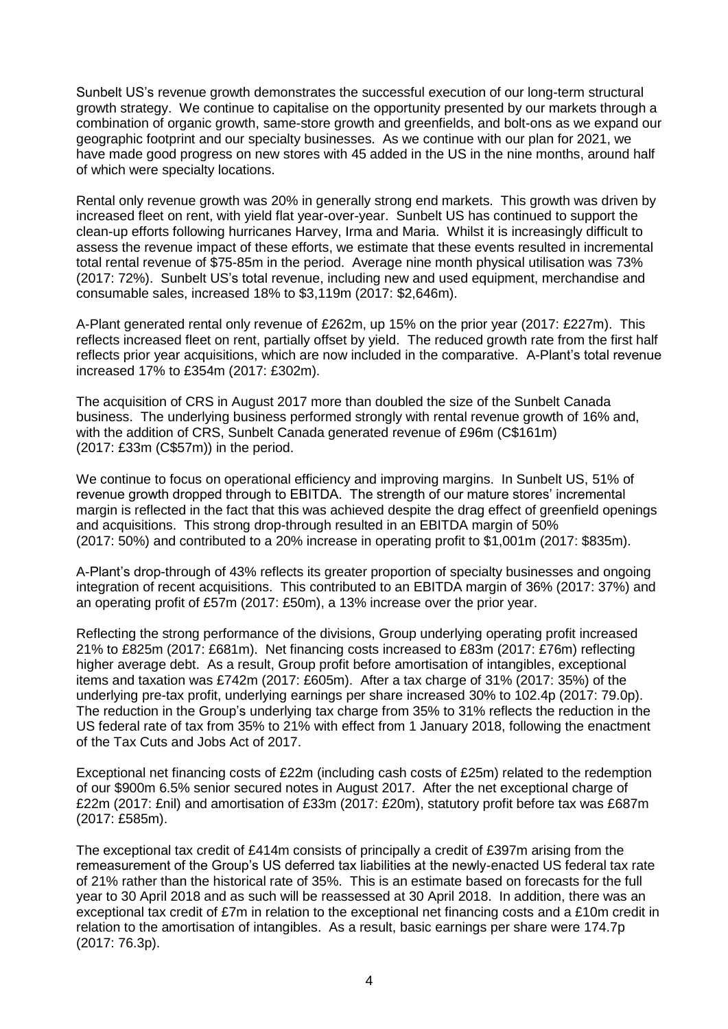Sunbelt US's revenue growth demonstrates the successful execution of our long-term structural growth strategy. We continue to capitalise on the opportunity presented by our markets through a combination of organic growth, same-store growth and greenfields, and bolt-ons as we expand our geographic footprint and our specialty businesses. As we continue with our plan for 2021, we have made good progress on new stores with 45 added in the US in the nine months, around half of which were specialty locations.

Rental only revenue growth was 20% in generally strong end markets. This growth was driven by increased fleet on rent, with yield flat year-over-year. Sunbelt US has continued to support the clean-up efforts following hurricanes Harvey, Irma and Maria. Whilst it is increasingly difficult to assess the revenue impact of these efforts, we estimate that these events resulted in incremental total rental revenue of \$75-85m in the period. Average nine month physical utilisation was 73% (2017: 72%). Sunbelt US's total revenue, including new and used equipment, merchandise and consumable sales, increased 18% to \$3,119m (2017: \$2,646m).

A-Plant generated rental only revenue of £262m, up 15% on the prior year (2017: £227m). This reflects increased fleet on rent, partially offset by yield. The reduced growth rate from the first half reflects prior year acquisitions, which are now included in the comparative. A-Plant's total revenue increased 17% to £354m (2017: £302m).

The acquisition of CRS in August 2017 more than doubled the size of the Sunbelt Canada business. The underlying business performed strongly with rental revenue growth of 16% and, with the addition of CRS, Sunbelt Canada generated revenue of £96m (C\$161m) (2017: £33m (C\$57m)) in the period.

We continue to focus on operational efficiency and improving margins. In Sunbelt US, 51% of revenue growth dropped through to EBITDA. The strength of our mature stores' incremental margin is reflected in the fact that this was achieved despite the drag effect of greenfield openings and acquisitions. This strong drop-through resulted in an EBITDA margin of 50% (2017: 50%) and contributed to a 20% increase in operating profit to \$1,001m (2017: \$835m).

A-Plant's drop-through of 43% reflects its greater proportion of specialty businesses and ongoing integration of recent acquisitions. This contributed to an EBITDA margin of 36% (2017: 37%) and an operating profit of £57m (2017: £50m), a 13% increase over the prior year.

Reflecting the strong performance of the divisions, Group underlying operating profit increased 21% to £825m (2017: £681m). Net financing costs increased to £83m (2017: £76m) reflecting higher average debt. As a result, Group profit before amortisation of intangibles, exceptional items and taxation was £742m (2017: £605m). After a tax charge of 31% (2017: 35%) of the underlying pre-tax profit, underlying earnings per share increased 30% to 102.4p (2017: 79.0p). The reduction in the Group's underlying tax charge from 35% to 31% reflects the reduction in the US federal rate of tax from 35% to 21% with effect from 1 January 2018, following the enactment of the Tax Cuts and Jobs Act of 2017.

Exceptional net financing costs of £22m (including cash costs of £25m) related to the redemption of our \$900m 6.5% senior secured notes in August 2017. After the net exceptional charge of £22m (2017: £nil) and amortisation of £33m (2017: £20m), statutory profit before tax was £687m (2017: £585m).

The exceptional tax credit of £414m consists of principally a credit of £397m arising from the remeasurement of the Group's US deferred tax liabilities at the newly-enacted US federal tax rate of 21% rather than the historical rate of 35%. This is an estimate based on forecasts for the full year to 30 April 2018 and as such will be reassessed at 30 April 2018. In addition, there was an exceptional tax credit of £7m in relation to the exceptional net financing costs and a £10m credit in relation to the amortisation of intangibles. As a result, basic earnings per share were 174.7p (2017: 76.3p).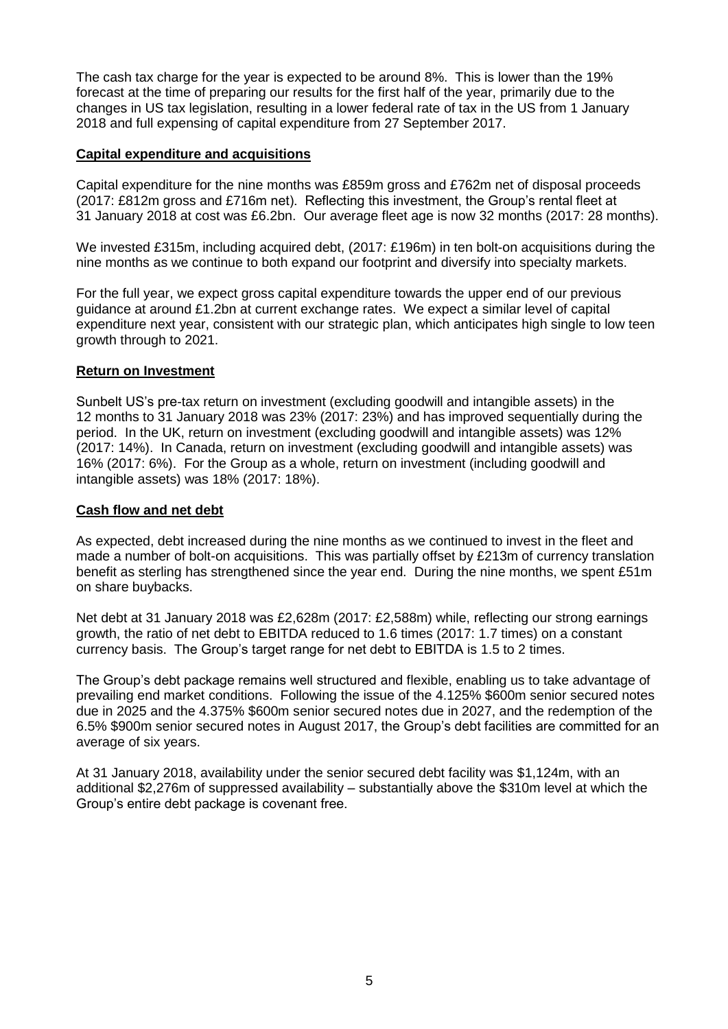The cash tax charge for the year is expected to be around 8%. This is lower than the 19% forecast at the time of preparing our results for the first half of the year, primarily due to the changes in US tax legislation, resulting in a lower federal rate of tax in the US from 1 January 2018 and full expensing of capital expenditure from 27 September 2017.

# **Capital expenditure and acquisitions**

Capital expenditure for the nine months was £859m gross and £762m net of disposal proceeds (2017: £812m gross and £716m net). Reflecting this investment, the Group's rental fleet at 31 January 2018 at cost was £6.2bn. Our average fleet age is now 32 months (2017: 28 months).

We invested £315m, including acquired debt, (2017: £196m) in ten bolt-on acquisitions during the nine months as we continue to both expand our footprint and diversify into specialty markets.

For the full year, we expect gross capital expenditure towards the upper end of our previous guidance at around £1.2bn at current exchange rates. We expect a similar level of capital expenditure next year, consistent with our strategic plan, which anticipates high single to low teen growth through to 2021.

## **Return on Investment**

Sunbelt US's pre-tax return on investment (excluding goodwill and intangible assets) in the 12 months to 31 January 2018 was 23% (2017: 23%) and has improved sequentially during the period. In the UK, return on investment (excluding goodwill and intangible assets) was 12% (2017: 14%). In Canada, return on investment (excluding goodwill and intangible assets) was 16% (2017: 6%). For the Group as a whole, return on investment (including goodwill and intangible assets) was 18% (2017: 18%).

## **Cash flow and net debt**

As expected, debt increased during the nine months as we continued to invest in the fleet and made a number of bolt-on acquisitions. This was partially offset by £213m of currency translation benefit as sterling has strengthened since the year end. During the nine months, we spent £51m on share buybacks.

Net debt at 31 January 2018 was £2,628m (2017: £2,588m) while, reflecting our strong earnings growth, the ratio of net debt to EBITDA reduced to 1.6 times (2017: 1.7 times) on a constant currency basis. The Group's target range for net debt to EBITDA is 1.5 to 2 times.

The Group's debt package remains well structured and flexible, enabling us to take advantage of prevailing end market conditions. Following the issue of the 4.125% \$600m senior secured notes due in 2025 and the 4.375% \$600m senior secured notes due in 2027, and the redemption of the 6.5% \$900m senior secured notes in August 2017, the Group's debt facilities are committed for an average of six years.

At 31 January 2018, availability under the senior secured debt facility was \$1,124m, with an additional \$2,276m of suppressed availability – substantially above the \$310m level at which the Group's entire debt package is covenant free.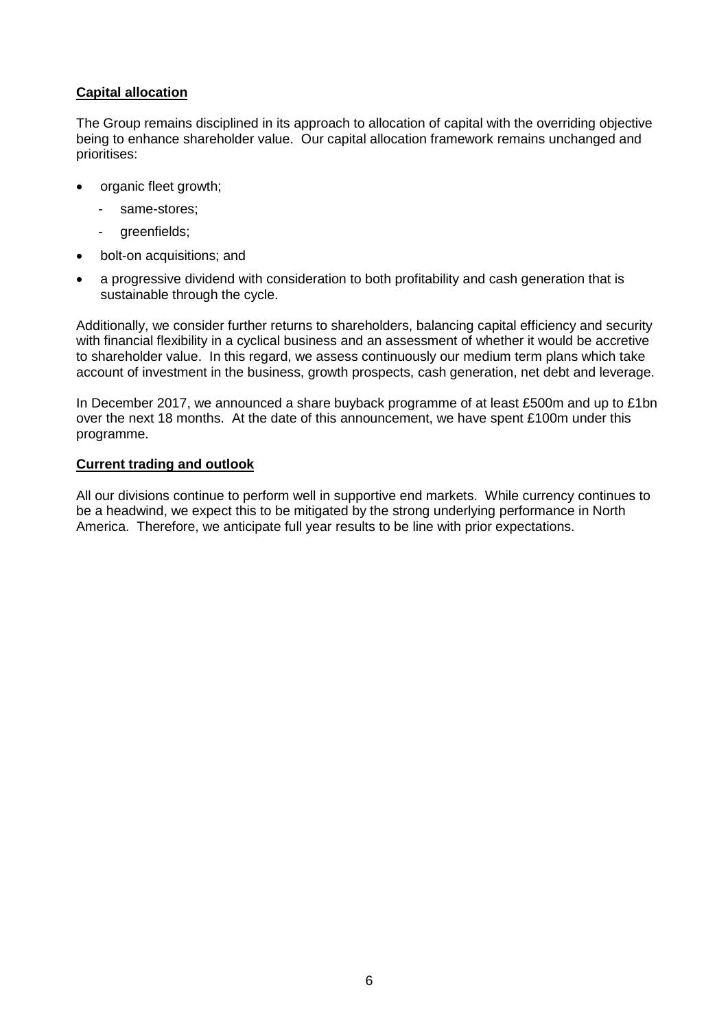# **Capital allocation**

The Group remains disciplined in its approach to allocation of capital with the overriding objective being to enhance shareholder value. Our capital allocation framework remains unchanged and prioritises:

- organic fleet growth;
	- same-stores:
	- greenfields;
- bolt-on acquisitions; and
- a progressive dividend with consideration to both profitability and cash generation that is sustainable through the cycle.

Additionally, we consider further returns to shareholders, balancing capital efficiency and security with financial flexibility in a cyclical business and an assessment of whether it would be accretive to shareholder value. In this regard, we assess continuously our medium term plans which take account of investment in the business, growth prospects, cash generation, net debt and leverage.

In December 2017, we announced a share buyback programme of at least £500m and up to £1bn over the next 18 months. At the date of this announcement, we have spent £100m under this programme.

## **Current trading and outlook**

All our divisions continue to perform well in supportive end markets. While currency continues to be a headwind, we expect this to be mitigated by the strong underlying performance in North America. Therefore, we anticipate full year results to be line with prior expectations.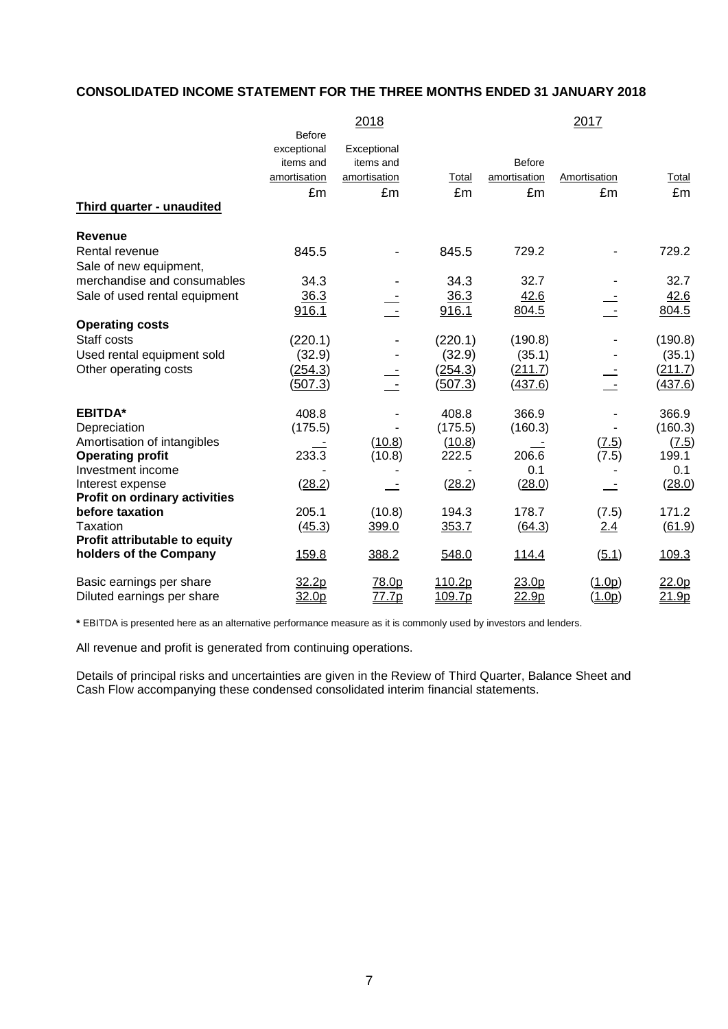# **CONSOLIDATED INCOME STATEMENT FOR THE THREE MONTHS ENDED 31 JANUARY 2018**

|                                      |               | 2018         |         |               | 2017         |                   |
|--------------------------------------|---------------|--------------|---------|---------------|--------------|-------------------|
|                                      | <b>Before</b> |              |         |               |              |                   |
|                                      | exceptional   | Exceptional  |         |               |              |                   |
|                                      | items and     | items and    |         | <b>Before</b> |              |                   |
|                                      | amortisation  | amortisation | Total   | amortisation  | Amortisation | Total             |
|                                      | £m            | £m           | £m      | £m            | £m           | £m                |
| <b>Third quarter - unaudited</b>     |               |              |         |               |              |                   |
| <b>Revenue</b>                       |               |              |         |               |              |                   |
| Rental revenue                       | 845.5         |              | 845.5   | 729.2         |              | 729.2             |
| Sale of new equipment,               |               |              |         |               |              |                   |
| merchandise and consumables          | 34.3          |              | 34.3    | 32.7          |              | 32.7              |
| Sale of used rental equipment        | 36.3          |              | 36.3    | 42.6          |              | 42.6              |
|                                      | 916.1         |              | 916.1   | 804.5         |              | 804.5             |
| <b>Operating costs</b>               |               |              |         |               |              |                   |
| Staff costs                          | (220.1)       |              | (220.1) | (190.8)       |              | (190.8)           |
| Used rental equipment sold           | (32.9)        |              | (32.9)  | (35.1)        |              | (35.1)            |
| Other operating costs                | (254.3)       |              | (254.3) | (211.7)       |              | (211.7)           |
|                                      | (507.3)       |              | (507.3) | (437.6)       |              | <u>(437.6)</u>    |
| <b>EBITDA*</b>                       | 408.8         |              | 408.8   | 366.9         |              | 366.9             |
| Depreciation                         | (175.5)       |              | (175.5) | (160.3)       |              | (160.3)           |
| Amortisation of intangibles          |               | (10.8)       | (10.8)  |               | (7.5)        | (7.5)             |
| <b>Operating profit</b>              | 233.3         | (10.8)       | 222.5   | 206.6         | (7.5)        | 199.1             |
| Investment income                    |               |              |         | 0.1           |              | 0.1               |
| Interest expense                     | (28.2)        |              | (28.2)  | (28.0)        |              | (28.0)            |
| <b>Profit on ordinary activities</b> |               |              |         |               |              |                   |
| before taxation                      | 205.1         | (10.8)       | 194.3   | 178.7         | (7.5)        | 171.2             |
| Taxation                             | (45.3)        | 399.0        | 353.7   | (64.3)        | 2.4          | (61.9)            |
| Profit attributable to equity        |               |              |         |               |              |                   |
| holders of the Company               | 159.8         | 388.2        | 548.0   | 114.4         | (5.1)        | 109.3             |
| Basic earnings per share             | 32.2p         | 78.0p        | 110.2p  | 23.0p         | (1.0p)       | 22.0 <sub>p</sub> |
| Diluted earnings per share           | 32.0p         | 77.7p        | 109.7p  | 22.9p         | (1.0p)       | 21.9p             |

**\*** EBITDA is presented here as an alternative performance measure as it is commonly used by investors and lenders.

All revenue and profit is generated from continuing operations.

Details of principal risks and uncertainties are given in the Review of Third Quarter, Balance Sheet and Cash Flow accompanying these condensed consolidated interim financial statements.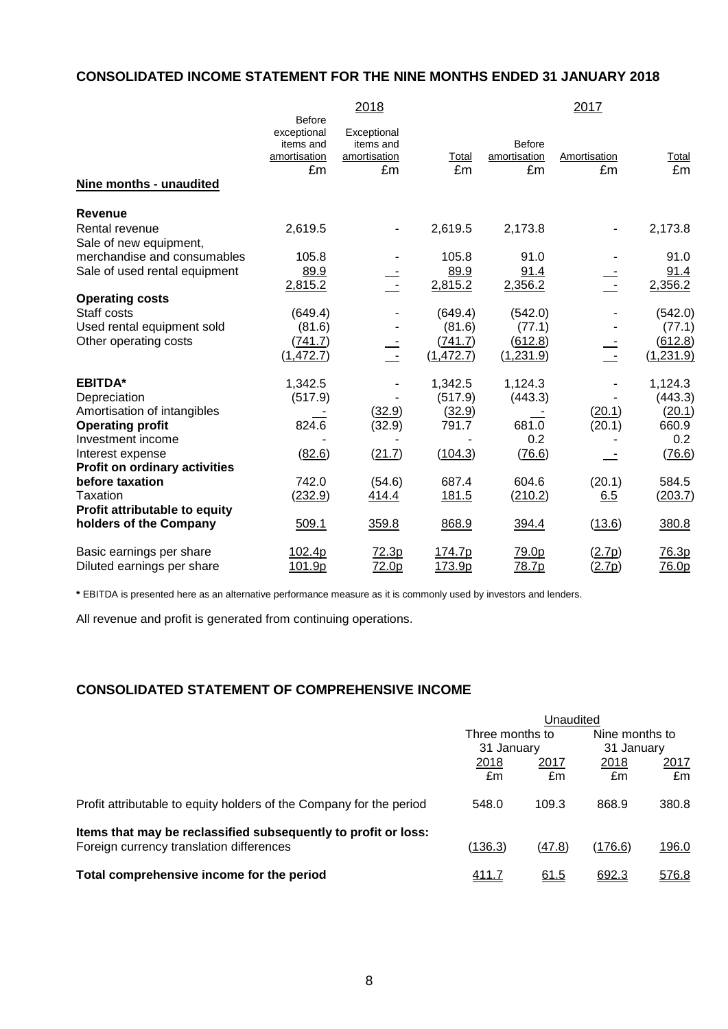# **CONSOLIDATED INCOME STATEMENT FOR THE NINE MONTHS ENDED 31 JANUARY 2018**

|                                      |               | 2018         |            |              | 2017         |              |
|--------------------------------------|---------------|--------------|------------|--------------|--------------|--------------|
|                                      | <b>Before</b> |              |            |              |              |              |
|                                      | exceptional   | Exceptional  |            |              |              |              |
|                                      | items and     | items and    |            | Before       |              |              |
|                                      | amortisation  | amortisation | Total      | amortisation | Amortisation | Total        |
|                                      | £m            | £m           | £m         | £m           | £m           | £m           |
| Nine months - unaudited              |               |              |            |              |              |              |
| <b>Revenue</b>                       |               |              |            |              |              |              |
| Rental revenue                       | 2,619.5       |              | 2,619.5    | 2,173.8      |              | 2,173.8      |
| Sale of new equipment,               |               |              |            |              |              |              |
| merchandise and consumables          | 105.8         |              | 105.8      | 91.0         |              | 91.0         |
| Sale of used rental equipment        | 89.9          |              | 89.9       | 91.4         |              | 91.4         |
|                                      | 2,815.2       |              | 2,815.2    | 2,356.2      |              | 2,356.2      |
| <b>Operating costs</b>               |               |              |            |              |              |              |
| Staff costs                          | (649.4)       |              | (649.4)    | (542.0)      |              | (542.0)      |
| Used rental equipment sold           | (81.6)        |              | (81.6)     | (77.1)       |              | (77.1)       |
| Other operating costs                | (741.7)       |              | (741.7)    | (612.8)      |              | (612.8)      |
|                                      | (1, 472.7)    | $\sim$ $-$   | (1, 472.7) | (1,231.9)    |              | (1,231.9)    |
| <b>EBITDA*</b>                       | 1,342.5       |              | 1,342.5    | 1,124.3      |              | 1,124.3      |
| Depreciation                         | (517.9)       |              | (517.9)    | (443.3)      |              | (443.3)      |
| Amortisation of intangibles          |               | (32.9)       | (32.9)     |              | (20.1)       | (20.1)       |
| <b>Operating profit</b>              | 824.6         | (32.9)       | 791.7      | 681.0        | (20.1)       | 660.9        |
| Investment income                    |               |              |            | 0.2          |              | 0.2          |
| Interest expense                     | (82.6)        | (21.7)       | (104.3)    | (76.6)       |              | (76.6)       |
| <b>Profit on ordinary activities</b> |               |              |            |              |              |              |
| before taxation                      | 742.0         | (54.6)       | 687.4      | 604.6        | (20.1)       | 584.5        |
| Taxation                             | (232.9)       | 414.4        | 181.5      | (210.2)      | 6.5          | (203.7)      |
| Profit attributable to equity        |               |              |            |              |              |              |
| holders of the Company               | 509.1         | 359.8        | 868.9      | 394.4        | (13.6)       | 380.8        |
| Basic earnings per share             | 102.4p        | 72.3p        | 174.7p     | 79.0p        | (2.7p)       | <u>76.3p</u> |
| Diluted earnings per share           | 101.9p        | 72.0p        | 173.9p     | 78.7p        | (2.7p)       | <u>76.0p</u> |

**\*** EBITDA is presented here as an alternative performance measure as it is commonly used by investors and lenders.

All revenue and profit is generated from continuing operations.

# **CONSOLIDATED STATEMENT OF COMPREHENSIVE INCOME**

|                                                                     | Unaudited       |             |                |       |
|---------------------------------------------------------------------|-----------------|-------------|----------------|-------|
|                                                                     | Three months to |             | Nine months to |       |
|                                                                     | 31 January      |             | 31 January     |       |
|                                                                     | 2018            | 2017        | 2018           | 2017  |
|                                                                     | £m              | £m          | £m             | £m    |
| Profit attributable to equity holders of the Company for the period | 548.0           | 109.3       | 868.9          | 380.8 |
| Items that may be reclassified subsequently to profit or loss:      |                 |             |                |       |
| Foreign currency translation differences                            | (136.3)         | (47.8)      | (176.6)        | 196.0 |
| Total comprehensive income for the period                           | 411.7           | <u>61.5</u> | 692.3          | 576.8 |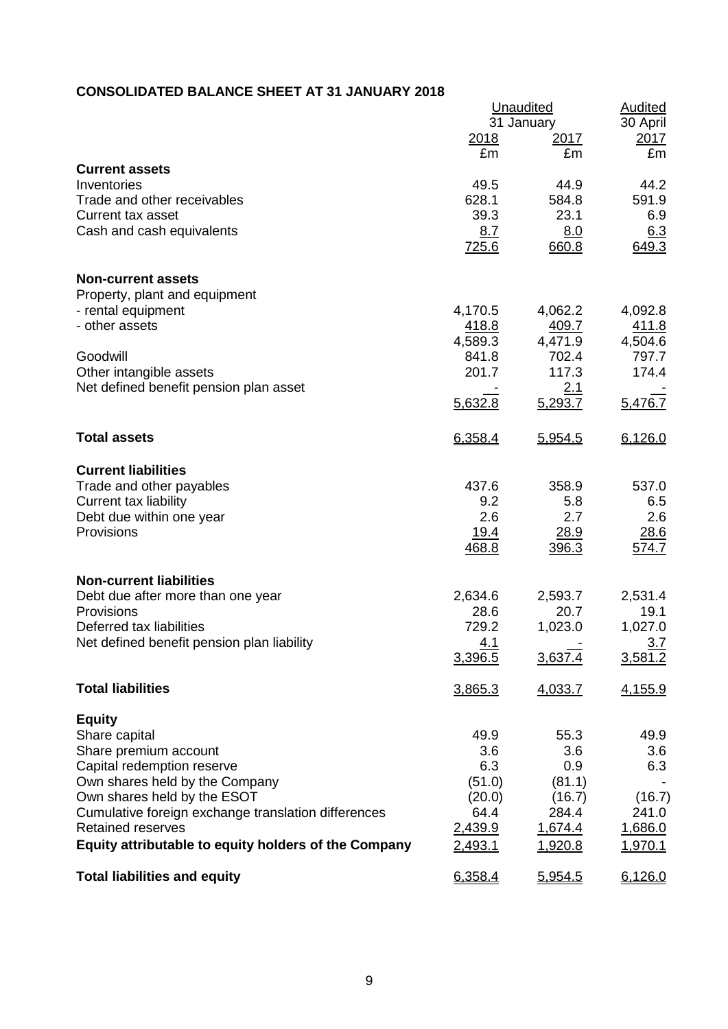# **CONSOLIDATED BALANCE SHEET AT 31 JANUARY 2018**

|                                                                        | <b>Unaudited</b><br>31 January | <b>Audited</b><br>30 April |                  |
|------------------------------------------------------------------------|--------------------------------|----------------------------|------------------|
|                                                                        | 2018                           | <u> 2017 </u>              | <u>2017</u>      |
|                                                                        | £m                             | £m                         | £m               |
| <b>Current assets</b><br>Inventories                                   | 49.5                           | 44.9                       | 44.2             |
| Trade and other receivables                                            | 628.1                          | 584.8                      | 591.9            |
| Current tax asset                                                      | 39.3                           | 23.1                       | 6.9              |
| Cash and cash equivalents                                              | 8.7                            | 8.0                        | 6.3              |
|                                                                        | 725.6                          | 660.8                      | 649.3            |
| <b>Non-current assets</b>                                              |                                |                            |                  |
| Property, plant and equipment                                          |                                |                            |                  |
| - rental equipment                                                     | 4,170.5                        | 4,062.2                    | 4,092.8          |
| - other assets                                                         | 418.8                          | 409.7                      | 411.8            |
| Goodwill                                                               | 4,589.3<br>841.8               | 4,471.9<br>702.4           | 4,504.6<br>797.7 |
| Other intangible assets                                                | 201.7                          | 117.3                      | 174.4            |
| Net defined benefit pension plan asset                                 |                                | 2.1                        |                  |
|                                                                        | 5,632.8                        | 5,293.7                    | 5,476.7          |
| <b>Total assets</b>                                                    | 6,358.4                        | 5,954.5                    | 6,126.0          |
| <b>Current liabilities</b>                                             |                                |                            |                  |
| Trade and other payables                                               | 437.6                          | 358.9                      | 537.0            |
| <b>Current tax liability</b>                                           | 9.2                            | 5.8                        | 6.5              |
| Debt due within one year                                               | 2.6                            | 2.7                        | 2.6              |
| Provisions                                                             | <u>19.4</u>                    | 28.9                       | 28.6             |
|                                                                        | 468.8                          | 396.3                      | 574.7            |
| <b>Non-current liabilities</b>                                         |                                |                            |                  |
| Debt due after more than one year                                      | 2,634.6                        | 2,593.7                    | 2,531.4          |
| Provisions                                                             | 28.6                           | 20.7                       | 19.1             |
| Deferred tax liabilities<br>Net defined benefit pension plan liability | 729.2<br>4.1                   | 1,023.0                    | 1,027.0<br>3.7   |
|                                                                        | 3,396.5                        | 3,637.4                    | 3,581.2          |
|                                                                        |                                |                            |                  |
| <b>Total liabilities</b>                                               | 3,865.3                        | 4,033.7                    | 4,155.9          |
| <b>Equity</b>                                                          |                                |                            |                  |
| Share capital                                                          | 49.9                           | 55.3                       | 49.9             |
| Share premium account                                                  | 3.6                            | 3.6                        | 3.6              |
| Capital redemption reserve<br>Own shares held by the Company           | 6.3<br>(51.0)                  | 0.9<br>(81.1)              | 6.3              |
| Own shares held by the ESOT                                            | (20.0)                         | (16.7)                     | (16.7)           |
| Cumulative foreign exchange translation differences                    | 64.4                           | 284.4                      | 241.0            |
| <b>Retained reserves</b>                                               | 2,439.9                        | 1,674.4                    | 1,686.0          |
| Equity attributable to equity holders of the Company                   | 2,493.1                        | 1,920.8                    | 1,970.1          |
| <b>Total liabilities and equity</b>                                    | 6,358.4                        | 5,954.5                    | 6,126.0          |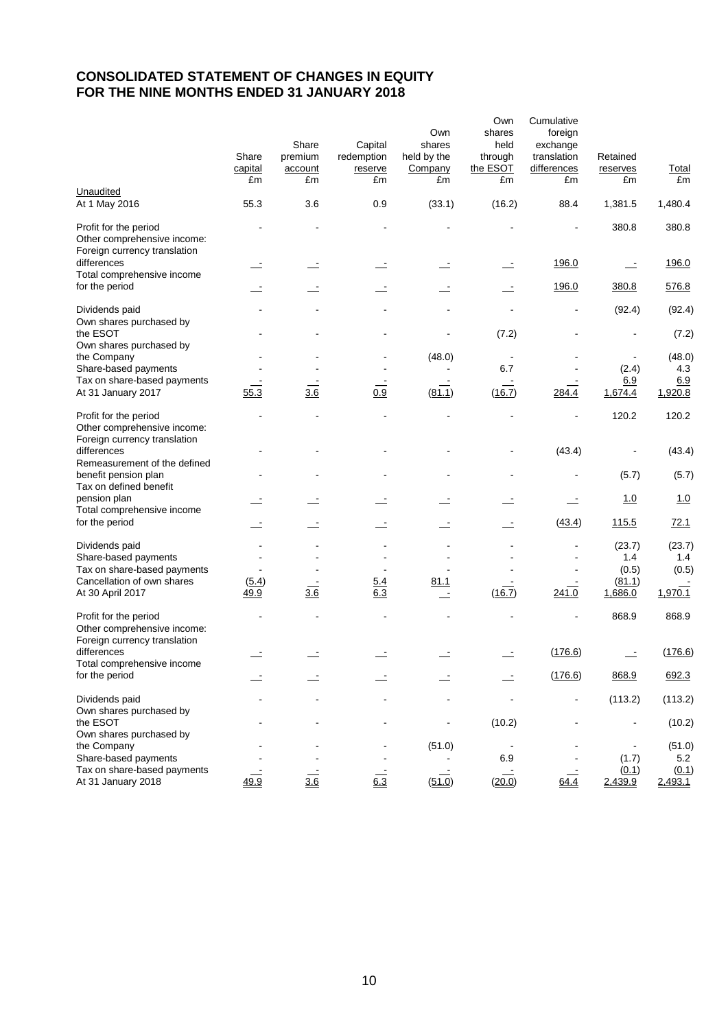# **CONSOLIDATED STATEMENT OF CHANGES IN EQUITY FOR THE NINE MONTHS ENDED 31 JANUARY 2018**

|                                                                                      | Share<br>capital<br>£m | Share<br>premium<br>account<br>£m | Capital<br>redemption<br>reserve<br>£m | Own<br>shares<br>held by the<br>Company<br>£m | Own<br>shares<br>held<br>through<br>the ESOT<br>£m | Cumulative<br>foreign<br>exchange<br>translation<br>differences<br>£m | Retained<br>reserves<br>£m | <b>Total</b><br>£m |
|--------------------------------------------------------------------------------------|------------------------|-----------------------------------|----------------------------------------|-----------------------------------------------|----------------------------------------------------|-----------------------------------------------------------------------|----------------------------|--------------------|
| Unaudited<br>At 1 May 2016                                                           | 55.3                   | 3.6                               | 0.9                                    | (33.1)                                        | (16.2)                                             | 88.4                                                                  | 1,381.5                    | 1,480.4            |
| Profit for the period<br>Other comprehensive income:<br>Foreign currency translation |                        |                                   |                                        |                                               |                                                    |                                                                       | 380.8                      | 380.8              |
| differences<br>Total comprehensive income                                            |                        |                                   |                                        |                                               |                                                    | 196.0                                                                 | $\equiv$                   | 196.0              |
| for the period                                                                       |                        |                                   |                                        |                                               |                                                    | 196.0                                                                 | 380.8                      | 576.8              |
| Dividends paid<br>Own shares purchased by                                            |                        |                                   |                                        |                                               |                                                    |                                                                       | (92.4)                     | (92.4)             |
| the ESOT<br>Own shares purchased by                                                  |                        |                                   |                                        |                                               | (7.2)                                              |                                                                       |                            | (7.2)              |
| the Company<br>Share-based payments                                                  |                        |                                   |                                        | (48.0)                                        | 6.7                                                |                                                                       |                            | (48.0)<br>4.3      |
| Tax on share-based payments                                                          |                        |                                   |                                        |                                               |                                                    |                                                                       | (2.4)<br>6.9               | 6.9                |
| At 31 January 2017                                                                   | 55.3                   | 3.6                               | 0.9                                    | (81.1)                                        | (16.7)                                             | 284.4                                                                 | 1,674.4                    | 1,920.8            |
| Profit for the period<br>Other comprehensive income:<br>Foreign currency translation |                        |                                   |                                        |                                               |                                                    | $\overline{a}$                                                        | 120.2                      | 120.2              |
| differences                                                                          |                        |                                   |                                        |                                               |                                                    | (43.4)                                                                |                            | (43.4)             |
| Remeasurement of the defined<br>benefit pension plan<br>Tax on defined benefit       |                        |                                   |                                        |                                               |                                                    |                                                                       | (5.7)                      | (5.7)              |
| pension plan<br>Total comprehensive income                                           |                        |                                   |                                        |                                               |                                                    |                                                                       | 1.0                        | 1.0                |
| for the period                                                                       |                        |                                   |                                        | $\equiv$                                      |                                                    | (43.4)                                                                | <u>115.5</u>               | 72.1               |
| Dividends paid<br>Share-based payments                                               |                        |                                   |                                        |                                               |                                                    |                                                                       | (23.7)<br>1.4              | (23.7)<br>1.4      |
| Tax on share-based payments                                                          |                        |                                   |                                        |                                               |                                                    |                                                                       | (0.5)                      | (0.5)              |
| Cancellation of own shares<br>At 30 April 2017                                       | (5.4)<br>49.9          | 3.6                               | 5.4<br>6.3                             | 81.1<br>$\overline{\phantom{a}}$              | (16.7)                                             | 241.0                                                                 | (81.1)<br>1,686.0          | 1,970.1            |
| Profit for the period<br>Other comprehensive income:<br>Foreign currency translation |                        |                                   |                                        |                                               |                                                    |                                                                       | 868.9                      | 868.9              |
| differences<br>Total comprehensive income                                            |                        |                                   |                                        |                                               |                                                    | (176.6)                                                               |                            | (176.6)            |
| for the period                                                                       |                        |                                   |                                        |                                               |                                                    | (176.6)                                                               | 868.9                      | 692.3              |
| Dividends paid                                                                       |                        |                                   |                                        |                                               |                                                    | $\blacksquare$                                                        | (113.2)                    | (113.2)            |
| Own shares purchased by<br>the ESOT<br>Own shares purchased by                       |                        |                                   |                                        | $\blacksquare$                                | (10.2)                                             |                                                                       |                            | (10.2)             |
| the Company<br>Share-based payments                                                  |                        |                                   |                                        | (51.0)                                        | 6.9                                                |                                                                       | (1.7)                      | (51.0)<br>5.2      |
| Tax on share-based payments<br>At 31 January 2018                                    | 49.9                   | $\frac{1}{3.6}$                   | $6.\overline{3}$                       | (51.0)                                        | (20.0)                                             | 64.4                                                                  | (0.1)<br>2,439.9           | (0.1)<br>2,493.1   |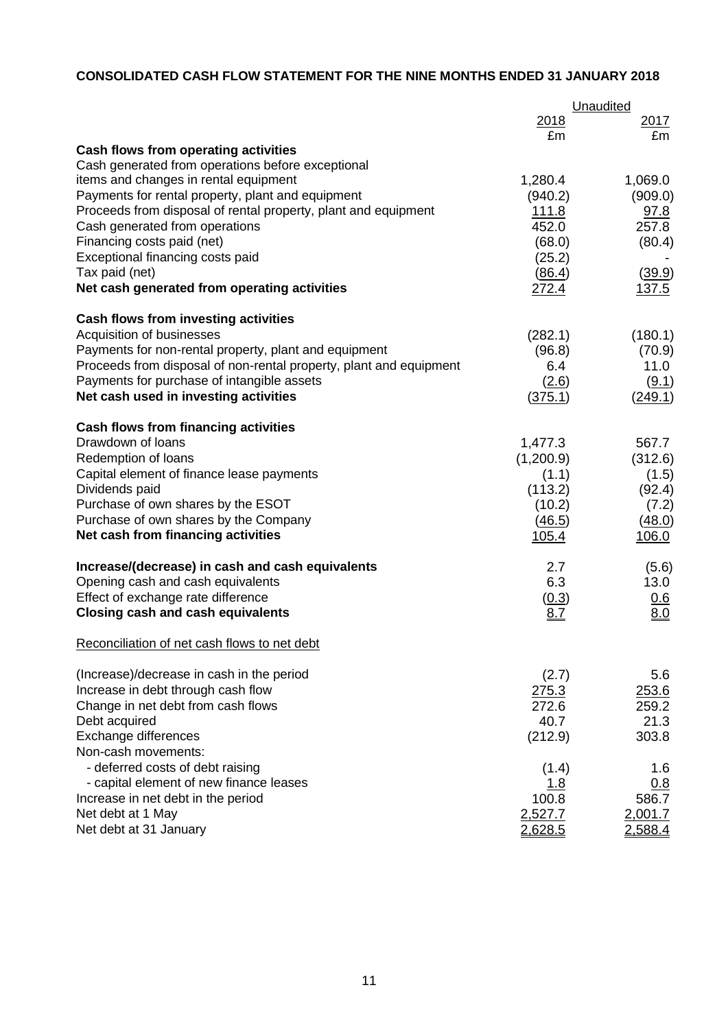# **CONSOLIDATED CASH FLOW STATEMENT FOR THE NINE MONTHS ENDED 31 JANUARY 2018**

|                                                                    |              | Unaudited       |  |
|--------------------------------------------------------------------|--------------|-----------------|--|
|                                                                    | 2018         | <u>2017</u>     |  |
|                                                                    | £m           | £m              |  |
| Cash flows from operating activities                               |              |                 |  |
| Cash generated from operations before exceptional                  |              |                 |  |
| items and changes in rental equipment                              | 1,280.4      | 1,069.0         |  |
| Payments for rental property, plant and equipment                  | (940.2)      | (909.0)         |  |
| Proceeds from disposal of rental property, plant and equipment     | <u>111.8</u> | 97.8            |  |
| Cash generated from operations                                     | 452.0        | 257.8           |  |
| Financing costs paid (net)                                         | (68.0)       | (80.4)          |  |
| Exceptional financing costs paid                                   | (25.2)       |                 |  |
| Tax paid (net)<br>Net cash generated from operating activities     | (86.4)       | (39.9)<br>137.5 |  |
|                                                                    | 272.4        |                 |  |
| Cash flows from investing activities                               |              |                 |  |
| Acquisition of businesses                                          | (282.1)      | (180.1)         |  |
| Payments for non-rental property, plant and equipment              | (96.8)       | (70.9)          |  |
| Proceeds from disposal of non-rental property, plant and equipment | 6.4          | 11.0            |  |
| Payments for purchase of intangible assets                         | (2.6)        | (9.1)           |  |
| Net cash used in investing activities                              | (375.1)      | (249.1)         |  |
| <b>Cash flows from financing activities</b>                        |              |                 |  |
| Drawdown of Ioans                                                  | 1,477.3      | 567.7           |  |
| Redemption of loans                                                | (1,200.9)    | (312.6)         |  |
| Capital element of finance lease payments                          | (1.1)        | (1.5)           |  |
| Dividends paid                                                     | (113.2)      | (92.4)          |  |
| Purchase of own shares by the ESOT                                 | (10.2)       | (7.2)           |  |
| Purchase of own shares by the Company                              | (46.5)       | (48.0)          |  |
| Net cash from financing activities                                 | 105.4        | 106.0           |  |
| Increase/(decrease) in cash and cash equivalents                   | 2.7          | (5.6)           |  |
| Opening cash and cash equivalents                                  | 6.3          | 13.0            |  |
| Effect of exchange rate difference                                 | (0.3)        | 0.6             |  |
| <b>Closing cash and cash equivalents</b>                           | 8.Z          | 8.0             |  |
| Reconciliation of net cash flows to net debt                       |              |                 |  |
| (Increase)/decrease in cash in the period                          | (2.7)        | 5.6             |  |
| Increase in debt through cash flow                                 | 275.3        | 253.6           |  |
| Change in net debt from cash flows                                 | 272.6        | 259.2           |  |
| Debt acquired                                                      | 40.7         | 21.3            |  |
| Exchange differences                                               | (212.9)      | 303.8           |  |
| Non-cash movements:                                                |              |                 |  |
| - deferred costs of debt raising                                   | (1.4)        | 1.6             |  |
| - capital element of new finance leases                            | 1.8          | 0.8             |  |
| Increase in net debt in the period                                 | 100.8        | 586.7           |  |
| Net debt at 1 May                                                  | 2,527.7      | 2,001.7         |  |
| Net debt at 31 January                                             | 2,628.5      | 2,588.4         |  |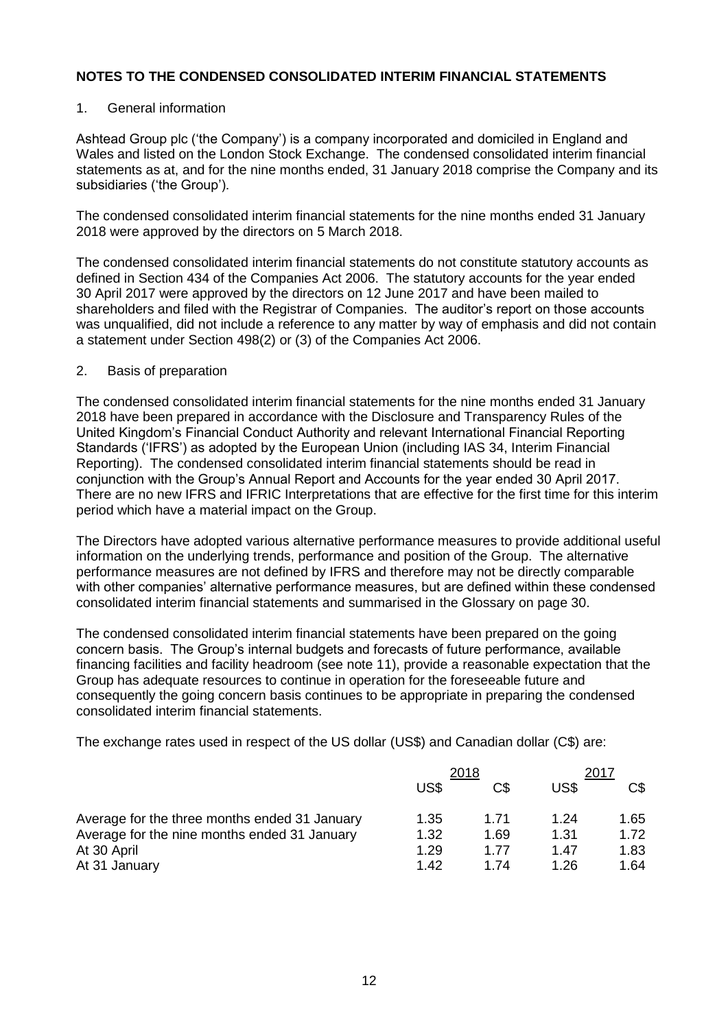## 1. General information

Ashtead Group plc ('the Company') is a company incorporated and domiciled in England and Wales and listed on the London Stock Exchange. The condensed consolidated interim financial statements as at, and for the nine months ended, 31 January 2018 comprise the Company and its subsidiaries ('the Group').

The condensed consolidated interim financial statements for the nine months ended 31 January 2018 were approved by the directors on 5 March 2018.

The condensed consolidated interim financial statements do not constitute statutory accounts as defined in Section 434 of the Companies Act 2006. The statutory accounts for the year ended 30 April 2017 were approved by the directors on 12 June 2017 and have been mailed to shareholders and filed with the Registrar of Companies. The auditor's report on those accounts was unqualified, did not include a reference to any matter by way of emphasis and did not contain a statement under Section 498(2) or (3) of the Companies Act 2006.

## 2. Basis of preparation

The condensed consolidated interim financial statements for the nine months ended 31 January 2018 have been prepared in accordance with the Disclosure and Transparency Rules of the United Kingdom's Financial Conduct Authority and relevant International Financial Reporting Standards ('IFRS') as adopted by the European Union (including IAS 34, Interim Financial Reporting). The condensed consolidated interim financial statements should be read in conjunction with the Group's Annual Report and Accounts for the year ended 30 April 2017. There are no new IFRS and IFRIC Interpretations that are effective for the first time for this interim period which have a material impact on the Group.

The Directors have adopted various alternative performance measures to provide additional useful information on the underlying trends, performance and position of the Group. The alternative performance measures are not defined by IFRS and therefore may not be directly comparable with other companies' alternative performance measures, but are defined within these condensed consolidated interim financial statements and summarised in the Glossary on page 30.

The condensed consolidated interim financial statements have been prepared on the going concern basis. The Group's internal budgets and forecasts of future performance, available financing facilities and facility headroom (see note 11), provide a reasonable expectation that the Group has adequate resources to continue in operation for the foreseeable future and consequently the going concern basis continues to be appropriate in preparing the condensed consolidated interim financial statements.

The exchange rates used in respect of the US dollar (US\$) and Canadian dollar (C\$) are:

|                                               | 2018 |      | 2017 |      |
|-----------------------------------------------|------|------|------|------|
|                                               | US\$ | C\$  | US\$ | C\$  |
| Average for the three months ended 31 January | 1.35 | 1.71 | 1.24 | 1.65 |
| Average for the nine months ended 31 January  | 1.32 | 1.69 | 1.31 | 1.72 |
| At 30 April                                   | 1.29 | 1.77 | 1.47 | 1.83 |
| At 31 January                                 | 1.42 | 1 74 | 1.26 | 1.64 |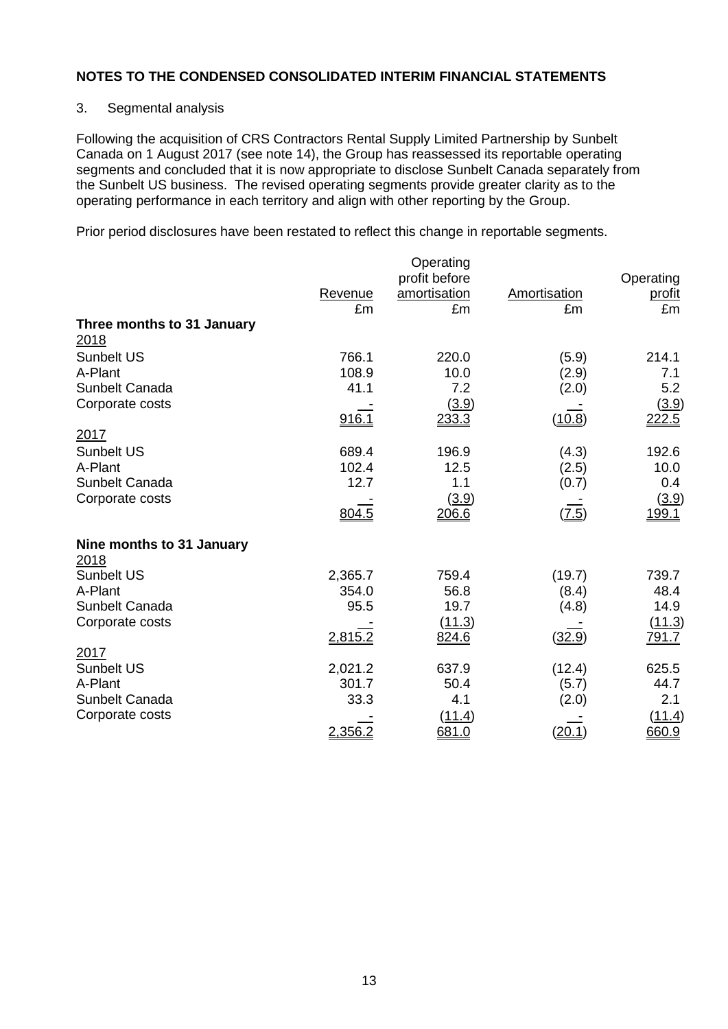## 3. Segmental analysis

Following the acquisition of CRS Contractors Rental Supply Limited Partnership by Sunbelt Canada on 1 August 2017 (see note 14), the Group has reassessed its reportable operating segments and concluded that it is now appropriate to disclose Sunbelt Canada separately from the Sunbelt US business. The revised operating segments provide greater clarity as to the operating performance in each territory and align with other reporting by the Group.

Prior period disclosures have been restated to reflect this change in reportable segments.

|                                    |               | Operating<br>profit before |                    | Operating           |
|------------------------------------|---------------|----------------------------|--------------------|---------------------|
|                                    | Revenue<br>£m | amortisation<br>£m         | Amortisation<br>£m | <u>profit</u><br>£m |
| Three months to 31 January<br>2018 |               |                            |                    |                     |
| <b>Sunbelt US</b>                  | 766.1         | 220.0                      | (5.9)              | 214.1               |
| A-Plant                            | 108.9         | 10.0                       | (2.9)              | 7.1                 |
| Sunbelt Canada                     | 41.1          | 7.2                        | (2.0)              | 5.2                 |
| Corporate costs                    | 916.1         | (3.9)<br>233.3             | (10.8)             | (3.9)<br>222.5      |
| 2017                               |               |                            |                    |                     |
| <b>Sunbelt US</b>                  | 689.4         | 196.9                      | (4.3)              | 192.6               |
| A-Plant                            | 102.4         | 12.5                       | (2.5)              | 10.0                |
| Sunbelt Canada                     | 12.7          | 1.1                        | (0.7)              | 0.4                 |
| Corporate costs                    |               | (3.9)                      |                    | (3.9)               |
|                                    | 804.5         | 206.6                      | (7.5)              | 199.1               |
| Nine months to 31 January          |               |                            |                    |                     |
| 2018                               |               |                            |                    |                     |
| <b>Sunbelt US</b>                  | 2,365.7       | 759.4                      | (19.7)             | 739.7               |
| A-Plant                            | 354.0         | 56.8                       | (8.4)              | 48.4                |
| Sunbelt Canada                     | 95.5          | 19.7                       | (4.8)              | 14.9                |
| Corporate costs                    |               | (11.3)                     |                    | (11.3)              |
|                                    | 2,815.2       | 824.6                      | (32.9)             | <u>791.7</u>        |
| 2017                               |               |                            |                    |                     |
| Sunbelt US                         | 2,021.2       | 637.9                      | (12.4)             | 625.5               |
| A-Plant                            | 301.7         | 50.4                       | (5.7)              | 44.7                |
| Sunbelt Canada                     | 33.3          | 4.1                        | (2.0)              | 2.1                 |
| Corporate costs                    |               | (11.4)                     |                    | (11.4)              |
|                                    | 2,356.2       | 681.0                      | (20.1)             | 660.9               |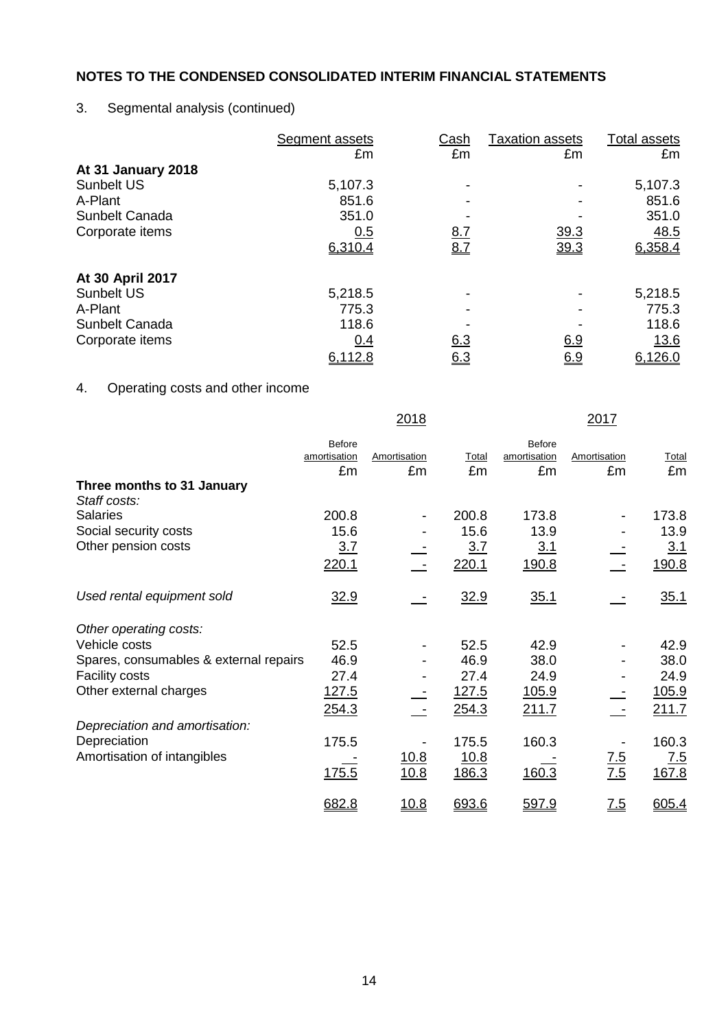# 3. Segmental analysis (continued)

|                    | Segment assets | Cash       | <b>Taxation assets</b> | Total assets |
|--------------------|----------------|------------|------------------------|--------------|
|                    | £m             | £m         | £m                     | £m           |
| At 31 January 2018 |                |            |                        |              |
| <b>Sunbelt US</b>  | 5,107.3        |            |                        | 5,107.3      |
| A-Plant            | 851.6          |            |                        | 851.6        |
| Sunbelt Canada     | 351.0          |            |                        | 351.0        |
| Corporate items    | 0.5            | <u>8.7</u> | 39.3                   | 48.5         |
|                    | 6,310.4        | 8.7        | 39.3                   | 6,358.4      |
| At 30 April 2017   |                |            |                        |              |
| <b>Sunbelt US</b>  | 5,218.5        |            |                        | 5,218.5      |
| A-Plant            | 775.3          |            |                        | 775.3        |
| Sunbelt Canada     | 118.6          |            |                        | 118.6        |
| Corporate items    | 0.4            | 6.3        | 6.9                    | <u>13.6</u>  |
|                    | 6,112.8        | <u>6.3</u> | <u>6.9</u>             | 6,126.0      |

# 4. Operating costs and other income

|                                            |               | 2018                     |       |               | 2017              |                   |
|--------------------------------------------|---------------|--------------------------|-------|---------------|-------------------|-------------------|
|                                            | <b>Before</b> |                          |       | <b>Before</b> |                   |                   |
|                                            | amortisation  | Amortisation             | Total | amortisation  | Amortisation      | Total             |
|                                            | £m            | £m                       | £m    | £m            | £m                | £m                |
| Three months to 31 January<br>Staff costs: |               |                          |       |               |                   |                   |
| <b>Salaries</b>                            | 200.8         | $\overline{\phantom{a}}$ | 200.8 | 173.8         |                   | 173.8             |
| Social security costs                      | 15.6          |                          | 15.6  | 13.9          |                   | 13.9              |
| Other pension costs                        | 3.7           |                          | 3.7   | <u>3.1</u>    |                   | 3.1               |
|                                            | 220.1         |                          | 220.1 | <u>190.8</u>  |                   | 190.8             |
| Used rental equipment sold                 | 32.9          |                          | 32.9  | 35.1          |                   | 35.1              |
| Other operating costs:                     |               |                          |       |               |                   |                   |
| Vehicle costs                              | 52.5          |                          | 52.5  | 42.9          |                   | 42.9              |
| Spares, consumables & external repairs     | 46.9          |                          | 46.9  | 38.0          |                   | 38.0              |
| <b>Facility costs</b>                      | 27.4          |                          | 27.4  | 24.9          |                   | 24.9              |
| Other external charges                     | 127.5         |                          | 127.5 | <u>105.9</u>  |                   | 105.9             |
|                                            | 254.3         |                          | 254.3 | <u>211.7</u>  |                   | 211.7             |
| Depreciation and amortisation:             |               |                          |       |               |                   |                   |
| Depreciation                               | 175.5         |                          | 175.5 | 160.3         |                   | 160.3             |
| Amortisation of intangibles                |               | 10.8                     | 10.8  |               |                   | $\underline{7.5}$ |
|                                            | 175.5         | 10.8                     | 186.3 | 160.3         | $\frac{7.5}{7.5}$ | 167.8             |
|                                            | 682.8         | <u>10.8</u>              | 693.6 | 597.9         | $\underline{7.5}$ | 605.4             |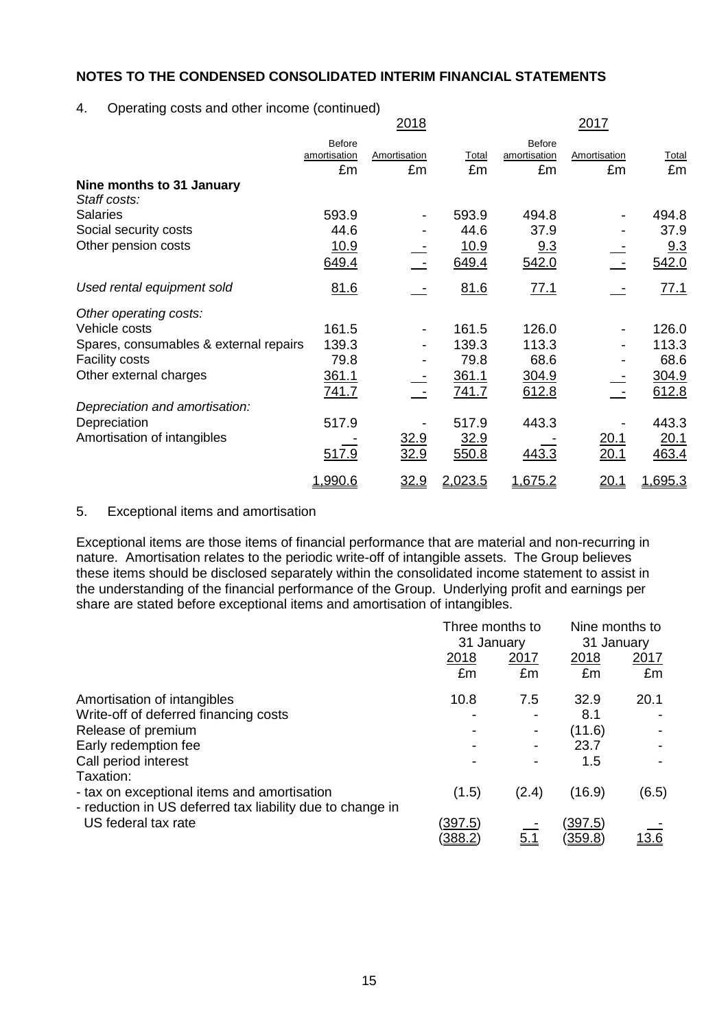## 4. Operating costs and other income (continued)

|                                           |                               | <u>2018</u>              |         |                               | <u> 2017</u> |         |
|-------------------------------------------|-------------------------------|--------------------------|---------|-------------------------------|--------------|---------|
|                                           | <b>Before</b><br>amortisation | Amortisation             | Total   | <b>Before</b><br>amortisation | Amortisation | Total   |
|                                           | £m                            | £m                       | £m      | £m                            | £m           | £m      |
| Nine months to 31 January<br>Staff costs: |                               |                          |         |                               |              |         |
| <b>Salaries</b>                           | 593.9                         | $\overline{\phantom{a}}$ | 593.9   | 494.8                         |              | 494.8   |
| Social security costs                     | 44.6                          | -                        | 44.6    | 37.9                          |              | 37.9    |
| Other pension costs                       | <u> 10.9</u>                  |                          | 10.9    | 9.3                           |              | 9.3     |
|                                           | 649.4                         |                          | 649.4   | 542.0                         |              | 542.0   |
| Used rental equipment sold                | 81.6                          |                          | 81.6    | 77.1                          |              | 77.1    |
| Other operating costs:                    |                               |                          |         |                               |              |         |
| Vehicle costs                             | 161.5                         | $\overline{\phantom{a}}$ | 161.5   | 126.0                         |              | 126.0   |
| Spares, consumables & external repairs    | 139.3                         |                          | 139.3   | 113.3                         |              | 113.3   |
| Facility costs                            | 79.8                          |                          | 79.8    | 68.6                          |              | 68.6    |
| Other external charges                    | 361.1                         |                          | 361.1   | 304.9                         |              | 304.9   |
|                                           | 741.7                         |                          | 741.7   | 612.8                         |              | 612.8   |
| Depreciation and amortisation:            |                               |                          |         |                               |              |         |
| Depreciation                              | 517.9                         |                          | 517.9   | 443.3                         |              | 443.3   |
| Amortisation of intangibles               |                               | <u>32.9</u>              | 32.9    |                               | <u>20.1</u>  | 20.1    |
|                                           | 517.9                         | 32.9                     | 550.8   | 443.3                         | 20.1         | 463.4   |
|                                           | 1,990.6                       | 32.9                     | 2.023.5 | 1,675.2                       | <u> 20.1</u> | 1,695.3 |

## 5. Exceptional items and amortisation

Exceptional items are those items of financial performance that are material and non-recurring in nature. Amortisation relates to the periodic write-off of intangible assets. The Group believes these items should be disclosed separately within the consolidated income statement to assist in the understanding of the financial performance of the Group. Underlying profit and earnings per share are stated before exceptional items and amortisation of intangibles.

|                                                                                                          | Three months to          |                          | Nine months to |              |
|----------------------------------------------------------------------------------------------------------|--------------------------|--------------------------|----------------|--------------|
|                                                                                                          | 31 January               |                          | 31 January     |              |
|                                                                                                          | 2018                     | 2017                     | 2018           | 2017         |
|                                                                                                          | £m                       | £m                       | £m             | £m           |
| Amortisation of intangibles                                                                              | 10.8                     | 7.5                      | 32.9           | 20.1         |
| Write-off of deferred financing costs                                                                    | $\overline{\phantom{a}}$ | $\overline{\phantom{a}}$ | 8.1            |              |
| Release of premium                                                                                       |                          | -                        | (11.6)         |              |
| Early redemption fee                                                                                     | $\blacksquare$           |                          | 23.7           |              |
| Call period interest                                                                                     | ۰                        |                          | 1.5            |              |
| Taxation:                                                                                                |                          |                          |                |              |
| - tax on exceptional items and amortisation<br>- reduction in US deferred tax liability due to change in | (1.5)                    | (2.4)                    | (16.9)         | (6.5)        |
| US federal tax rate                                                                                      | (397.5)                  |                          | (397.5)        |              |
|                                                                                                          | <u>(388.2)</u>           | <u>5.1</u>               | <u>(359.8)</u> | <u> 13.6</u> |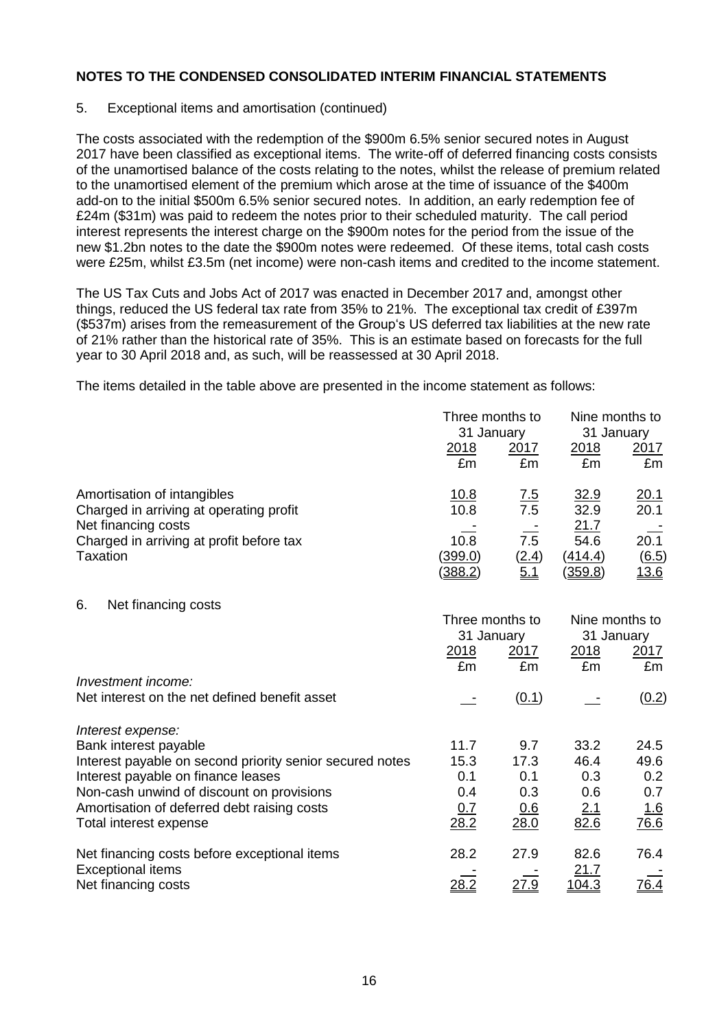## 5. Exceptional items and amortisation (continued)

The costs associated with the redemption of the \$900m 6.5% senior secured notes in August 2017 have been classified as exceptional items. The write-off of deferred financing costs consists of the unamortised balance of the costs relating to the notes, whilst the release of premium related to the unamortised element of the premium which arose at the time of issuance of the \$400m add-on to the initial \$500m 6.5% senior secured notes. In addition, an early redemption fee of £24m (\$31m) was paid to redeem the notes prior to their scheduled maturity. The call period interest represents the interest charge on the \$900m notes for the period from the issue of the new \$1.2bn notes to the date the \$900m notes were redeemed. Of these items, total cash costs were £25m, whilst £3.5m (net income) were non-cash items and credited to the income statement.

The US Tax Cuts and Jobs Act of 2017 was enacted in December 2017 and, amongst other things, reduced the US federal tax rate from 35% to 21%. The exceptional tax credit of £397m (\$537m) arises from the remeasurement of the Group's US deferred tax liabilities at the new rate of 21% rather than the historical rate of 35%. This is an estimate based on forecasts for the full year to 30 April 2018 and, as such, will be reassessed at 30 April 2018.

The items detailed in the table above are presented in the income statement as follows:

|                                                                                    | Three months to<br>31 January            |                     | Nine months to<br>31 January       |                                      |  |
|------------------------------------------------------------------------------------|------------------------------------------|---------------------|------------------------------------|--------------------------------------|--|
|                                                                                    | 2018<br>£m                               | 2017<br>£m          | 2018<br>£m                         | 2017<br>£m                           |  |
| Amortisation of intangibles<br>Charged in arriving at operating profit             | <u>10.8</u><br>$\frac{1}{10.8}$          | $\frac{7.5}{7.5}$   | $\frac{32.9}{32.9}$                | $\frac{20.1}{20.1}$                  |  |
| Net financing costs<br>Charged in arriving at profit before tax<br><b>Taxation</b> | 10.8<br><u>(399.0)</u><br><u>(388.2)</u> | 7.5<br>(2.4)<br>5.1 | 21.7<br>54.6<br>(414.4)<br>(359.8) | 20.1<br><u>(6.5)</u><br><u> 13.6</u> |  |
| 6.<br>Net financing costs                                                          | Three months to                          |                     |                                    | Nine months to                       |  |
|                                                                                    | 31 January                               |                     |                                    | 31 January                           |  |
|                                                                                    | 2018<br>£m                               | 2017<br>£m          | 2018<br>£m                         | 2017<br>£m                           |  |
| Investment income:                                                                 |                                          |                     |                                    |                                      |  |
| Net interest on the net defined benefit asset                                      |                                          | (0.1)               |                                    | (0.2)                                |  |
| Interest expense:                                                                  |                                          |                     |                                    |                                      |  |
| Bank interest payable                                                              | 11.7                                     | 9.7                 | 33.2                               | 24.5                                 |  |
| Interest payable on second priority senior secured notes                           | 15.3<br>0.1                              | 17.3<br>0.1         | 46.4<br>0.3                        | 49.6                                 |  |
| Interest payable on finance leases<br>Non-cash unwind of discount on provisions    | 0.4                                      | 0.3                 | 0.6                                | 0.2<br>0.7                           |  |
| Amortisation of deferred debt raising costs                                        | 0.7                                      | 0.6                 | 2.1                                | <u>1.6</u>                           |  |
| Total interest expense                                                             | 28.2                                     | 28.0                | 82.6                               | 76.6                                 |  |
| Net financing costs before exceptional items                                       | 28.2                                     | 27.9                | 82.6                               | 76.4                                 |  |
| <b>Exceptional items</b>                                                           |                                          |                     | <u>21.7</u>                        |                                      |  |
| Net financing costs                                                                | 28.2                                     | 27.9                | <u>104.3</u>                       | 76.4                                 |  |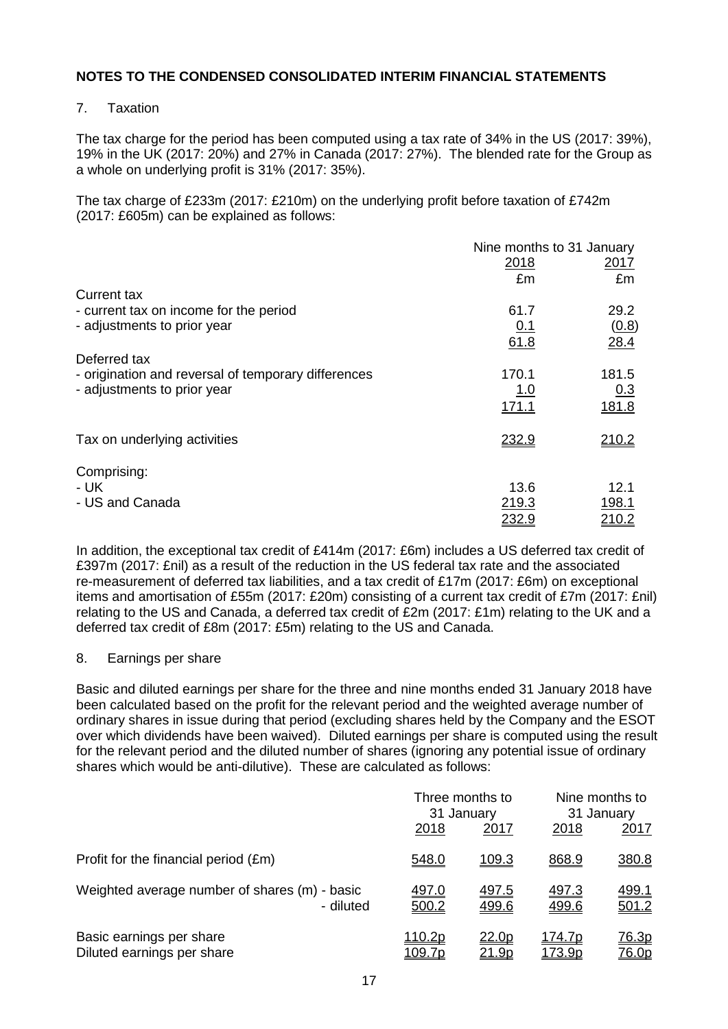## 7. Taxation

The tax charge for the period has been computed using a tax rate of 34% in the US (2017: 39%), 19% in the UK (2017: 20%) and 27% in Canada (2017: 27%). The blended rate for the Group as a whole on underlying profit is 31% (2017: 35%).

The tax charge of £233m (2017: £210m) on the underlying profit before taxation of £742m (2017: £605m) can be explained as follows:

|                                                     | Nine months to 31 January |             |  |  |
|-----------------------------------------------------|---------------------------|-------------|--|--|
|                                                     | 2018                      | <u>2017</u> |  |  |
|                                                     | £m                        | £m          |  |  |
| <b>Current tax</b>                                  |                           |             |  |  |
| - current tax on income for the period              | 61.7                      | 29.2        |  |  |
| - adjustments to prior year                         | 0.1                       | (0.8)       |  |  |
|                                                     | 61.8                      | 28.4        |  |  |
| Deferred tax                                        |                           |             |  |  |
| - origination and reversal of temporary differences | 170.1                     | 181.5       |  |  |
| - adjustments to prior year                         | <u>1.0</u>                | 0.3         |  |  |
|                                                     | 171.1                     | 181.8       |  |  |
| Tax on underlying activities                        | 232.9                     | 210.2       |  |  |
| Comprising:                                         |                           |             |  |  |
| - UK                                                | 13.6                      | 12.1        |  |  |
| - US and Canada                                     | 219.3                     | 198.1       |  |  |
|                                                     | 232.9                     | 210.2       |  |  |

In addition, the exceptional tax credit of £414m (2017: £6m) includes a US deferred tax credit of £397m (2017: £nil) as a result of the reduction in the US federal tax rate and the associated re-measurement of deferred tax liabilities, and a tax credit of £17m (2017: £6m) on exceptional items and amortisation of £55m (2017: £20m) consisting of a current tax credit of £7m (2017: £nil) relating to the US and Canada, a deferred tax credit of £2m (2017: £1m) relating to the UK and a deferred tax credit of £8m (2017: £5m) relating to the US and Canada.

#### 8. Earnings per share

Basic and diluted earnings per share for the three and nine months ended 31 January 2018 have been calculated based on the profit for the relevant period and the weighted average number of ordinary shares in issue during that period (excluding shares held by the Company and the ESOT over which dividends have been waived). Diluted earnings per share is computed using the result for the relevant period and the diluted number of shares (ignoring any potential issue of ordinary shares which would be anti-dilutive). These are calculated as follows:

|                                                            | Three months to<br>31 January |                               | Nine months to<br>31 January |                       |
|------------------------------------------------------------|-------------------------------|-------------------------------|------------------------------|-----------------------|
|                                                            | 2018                          | <u>2017</u>                   | 2018                         | 2017                  |
| Profit for the financial period (£m)                       | 548.0                         | 109.3                         | 868.9                        | 380.8                 |
| Weighted average number of shares (m) - basic<br>- diluted | <u>497.0</u><br>500.2         | <u>497.5</u><br>499.6         | <u>497.3</u><br>499.6        | <u>499.1</u><br>501.2 |
| Basic earnings per share<br>Diluted earnings per share     | <u>110.2p</u><br>109.7p       | <u>22.0p</u><br><u> 21.9p</u> | <u>174.7p</u><br>173.9p      | <u>76.3p</u><br>76.0p |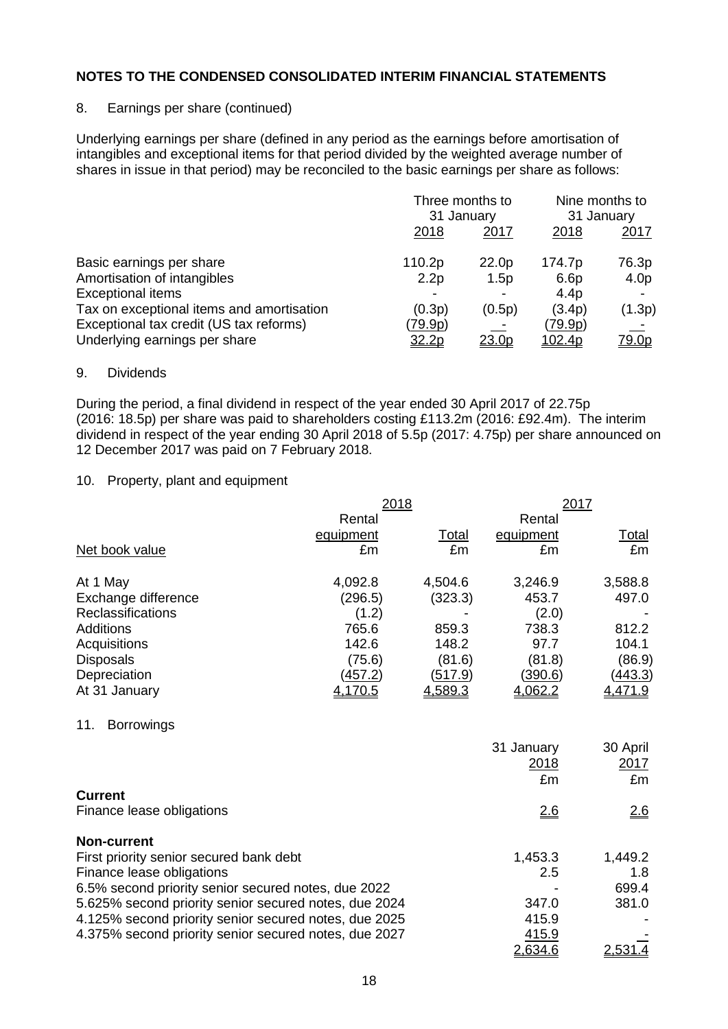## 8. Earnings per share (continued)

Underlying earnings per share (defined in any period as the earnings before amortisation of intangibles and exceptional items for that period divided by the weighted average number of shares in issue in that period) may be reconciled to the basic earnings per share as follows:

|                                           | Three months to<br>31 January |              | Nine months to<br>31 January |                  |
|-------------------------------------------|-------------------------------|--------------|------------------------------|------------------|
|                                           | 2018                          | 2017         | 2018                         | <u> 2017 </u>    |
| Basic earnings per share                  | 110.2p                        | 22.0p        | 174.7p                       | 76.3p            |
| Amortisation of intangibles               | 2.2p                          | 1.5p         | 6.6 <sub>p</sub>             | 4.0 <sub>p</sub> |
| <b>Exceptional items</b>                  |                               |              | 4.4 <sub>p</sub>             |                  |
| Tax on exceptional items and amortisation | (0.3p)                        | (0.5p)       | (3.4p)                       | (1.3p)           |
| Exceptional tax credit (US tax reforms)   | <u>(79.9p)</u>                |              | <u>(79.9p)</u>               |                  |
| Underlying earnings per share             | 32.2p                         | <u>23.0p</u> | 102.4p                       | <u>79.0p</u>     |

## 9. Dividends

During the period, a final dividend in respect of the year ended 30 April 2017 of 22.75p (2016: 18.5p) per share was paid to shareholders costing £113.2m (2016: £92.4m). The interim dividend in respect of the year ending 30 April 2018 of 5.5p (2017: 4.75p) per share announced on 12 December 2017 was paid on 7 February 2018.

## 10. Property, plant and equipment

|                                                       | 2018      |         |            | 2017         |  |
|-------------------------------------------------------|-----------|---------|------------|--------------|--|
|                                                       | Rental    |         | Rental     |              |  |
|                                                       | equipment | Total   | equipment  | <b>Total</b> |  |
| Net book value                                        | £m        | £m      | £m         | £m           |  |
| At 1 May                                              | 4,092.8   | 4,504.6 | 3,246.9    | 3,588.8      |  |
| Exchange difference                                   | (296.5)   | (323.3) | 453.7      | 497.0        |  |
| <b>Reclassifications</b>                              | (1.2)     |         | (2.0)      |              |  |
| <b>Additions</b>                                      | 765.6     | 859.3   | 738.3      | 812.2        |  |
| Acquisitions                                          | 142.6     | 148.2   | 97.7       | 104.1        |  |
| <b>Disposals</b>                                      | (75.6)    | (81.6)  | (81.8)     | (86.9)       |  |
| Depreciation                                          | (457.2)   | (517.9) | (390.6)    | (443.3)      |  |
| At 31 January                                         | 4,170.5   | 4,589.3 | 4,062.2    | 4,471.9      |  |
| 11.<br><b>Borrowings</b>                              |           |         |            |              |  |
|                                                       |           |         | 31 January | 30 April     |  |
|                                                       |           |         | 2018       | 2017         |  |
|                                                       |           |         | £m         | £m           |  |
| <b>Current</b>                                        |           |         |            |              |  |
| Finance lease obligations                             |           |         | 2.6        | 2.6          |  |
| <b>Non-current</b>                                    |           |         |            |              |  |
| First priority senior secured bank debt               |           |         | 1,453.3    | 1,449.2      |  |
| Finance lease obligations                             |           |         | 2.5        | 1.8          |  |
| 6.5% second priority senior secured notes, due 2022   |           |         |            | 699.4        |  |
| 5.625% second priority senior secured notes, due 2024 |           |         | 347.0      | 381.0        |  |
| 4.125% second priority senior secured notes, due 2025 |           |         | 415.9      |              |  |
| 4.375% second priority senior secured notes, due 2027 |           |         | 415.9      |              |  |
|                                                       |           |         | 2,634.6    | 2,531.4      |  |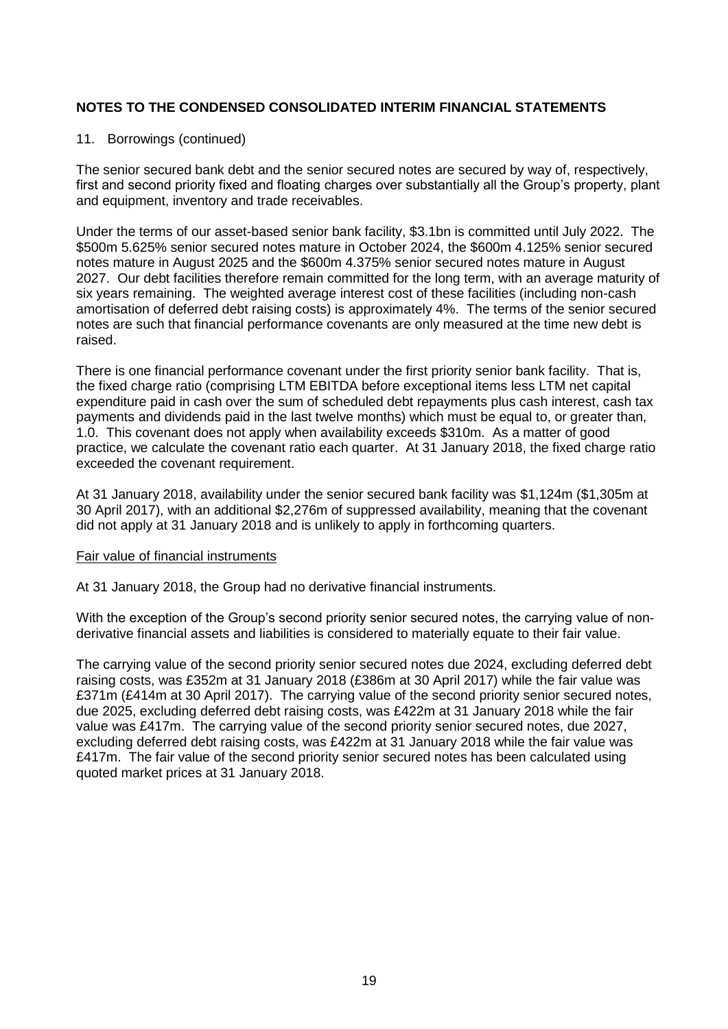## 11. Borrowings (continued)

The senior secured bank debt and the senior secured notes are secured by way of, respectively, first and second priority fixed and floating charges over substantially all the Group's property, plant and equipment, inventory and trade receivables.

Under the terms of our asset-based senior bank facility, \$3.1bn is committed until July 2022. The \$500m 5.625% senior secured notes mature in October 2024, the \$600m 4.125% senior secured notes mature in August 2025 and the \$600m 4.375% senior secured notes mature in August 2027. Our debt facilities therefore remain committed for the long term, with an average maturity of six years remaining. The weighted average interest cost of these facilities (including non-cash amortisation of deferred debt raising costs) is approximately 4%. The terms of the senior secured notes are such that financial performance covenants are only measured at the time new debt is raised.

There is one financial performance covenant under the first priority senior bank facility. That is, the fixed charge ratio (comprising LTM EBITDA before exceptional items less LTM net capital expenditure paid in cash over the sum of scheduled debt repayments plus cash interest, cash tax payments and dividends paid in the last twelve months) which must be equal to, or greater than, 1.0. This covenant does not apply when availability exceeds \$310m. As a matter of good practice, we calculate the covenant ratio each quarter. At 31 January 2018, the fixed charge ratio exceeded the covenant requirement.

At 31 January 2018, availability under the senior secured bank facility was \$1,124m (\$1,305m at 30 April 2017), with an additional \$2,276m of suppressed availability, meaning that the covenant did not apply at 31 January 2018 and is unlikely to apply in forthcoming quarters.

#### Fair value of financial instruments

At 31 January 2018, the Group had no derivative financial instruments.

With the exception of the Group's second priority senior secured notes, the carrying value of nonderivative financial assets and liabilities is considered to materially equate to their fair value.

The carrying value of the second priority senior secured notes due 2024, excluding deferred debt raising costs, was £352m at 31 January 2018 (£386m at 30 April 2017) while the fair value was £371m (£414m at 30 April 2017). The carrying value of the second priority senior secured notes, due 2025, excluding deferred debt raising costs, was £422m at 31 January 2018 while the fair value was £417m. The carrying value of the second priority senior secured notes, due 2027, excluding deferred debt raising costs, was £422m at 31 January 2018 while the fair value was £417m. The fair value of the second priority senior secured notes has been calculated using quoted market prices at 31 January 2018.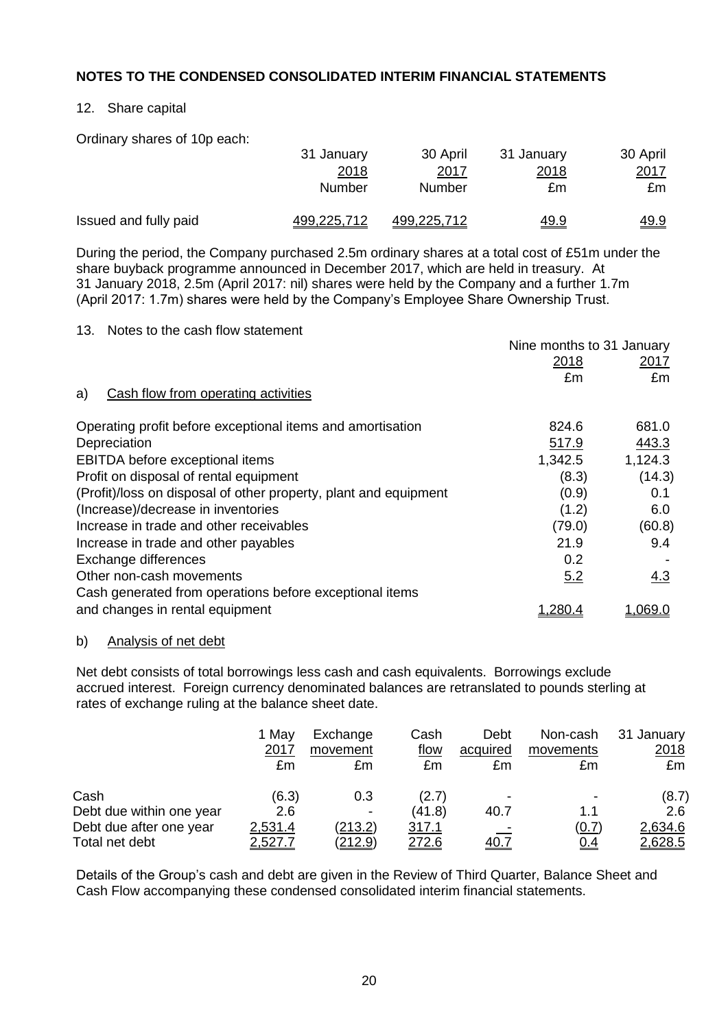## 12. Share capital

Ordinary shares of 10p each:

|                       | 31 January  | 30 April           | 31 January   | 30 April    |
|-----------------------|-------------|--------------------|--------------|-------------|
|                       | 2018        | <u> 2017</u>       | <u> 2018</u> | 2017        |
|                       | Number      | Number             | £m           | £m          |
| Issued and fully paid | 499,225,712 | <u>499,225,712</u> | <u>49.9</u>  | <u>49.9</u> |

During the period, the Company purchased 2.5m ordinary shares at a total cost of £51m under the share buyback programme announced in December 2017, which are held in treasury. At 31 January 2018, 2.5m (April 2017: nil) shares were held by the Company and a further 1.7m (April 2017: 1.7m) shares were held by the Company's Employee Share Ownership Trust.

## 13. Notes to the cash flow statement

|                                                                  | Nine months to 31 January |             |  |
|------------------------------------------------------------------|---------------------------|-------------|--|
|                                                                  | <u>2018</u>               | <u>2017</u> |  |
|                                                                  | £m                        | £m          |  |
| Cash flow from operating activities<br>a)                        |                           |             |  |
| Operating profit before exceptional items and amortisation       | 824.6                     | 681.0       |  |
| Depreciation                                                     | 517.9                     | 443.3       |  |
| EBITDA before exceptional items                                  | 1,342.5                   | 1,124.3     |  |
| Profit on disposal of rental equipment                           | (8.3)                     | (14.3)      |  |
| (Profit)/loss on disposal of other property, plant and equipment | (0.9)                     | 0.1         |  |
| (Increase)/decrease in inventories                               | (1.2)                     | 6.0         |  |
| Increase in trade and other receivables                          | (79.0)                    | (60.8)      |  |
| Increase in trade and other payables                             | 21.9                      | 9.4         |  |
| Exchange differences                                             | 0.2                       |             |  |
| Other non-cash movements                                         | 5.2                       | 4.3         |  |
| Cash generated from operations before exceptional items          |                           |             |  |
| and changes in rental equipment                                  | 1.280.4                   | 1,069.0     |  |

#### b) Analysis of net debt

Net debt consists of total borrowings less cash and cash equivalents. Borrowings exclude accrued interest. Foreign currency denominated balances are retranslated to pounds sterling at rates of exchange ruling at the balance sheet date.

|                          | 1 May<br>2017<br>£m | Exchange<br>movement<br>£m | Cash<br>flow<br>£m | Debt<br>acquired<br>£m | Non-cash<br>movements<br>£m | 31 January<br>2018<br>£m |
|--------------------------|---------------------|----------------------------|--------------------|------------------------|-----------------------------|--------------------------|
| Cash                     | (6.3)               | 0.3                        | (2.7)              | -                      |                             | (8.7)                    |
| Debt due within one year | 2.6                 | -                          | (41.8)             | 40.7                   | 1.1                         | 2.6                      |
| Debt due after one year  | 2,531.4             | (213.2)                    | 317.1              |                        | (0.7)                       | 2,634.6                  |
| Total net debt           | 2,527.7             | <u>(212.9)</u>             | 272.6              | <u>40.7</u>            | <u>0.4</u>                  | 2,628.5                  |

Details of the Group's cash and debt are given in the Review of Third Quarter, Balance Sheet and Cash Flow accompanying these condensed consolidated interim financial statements.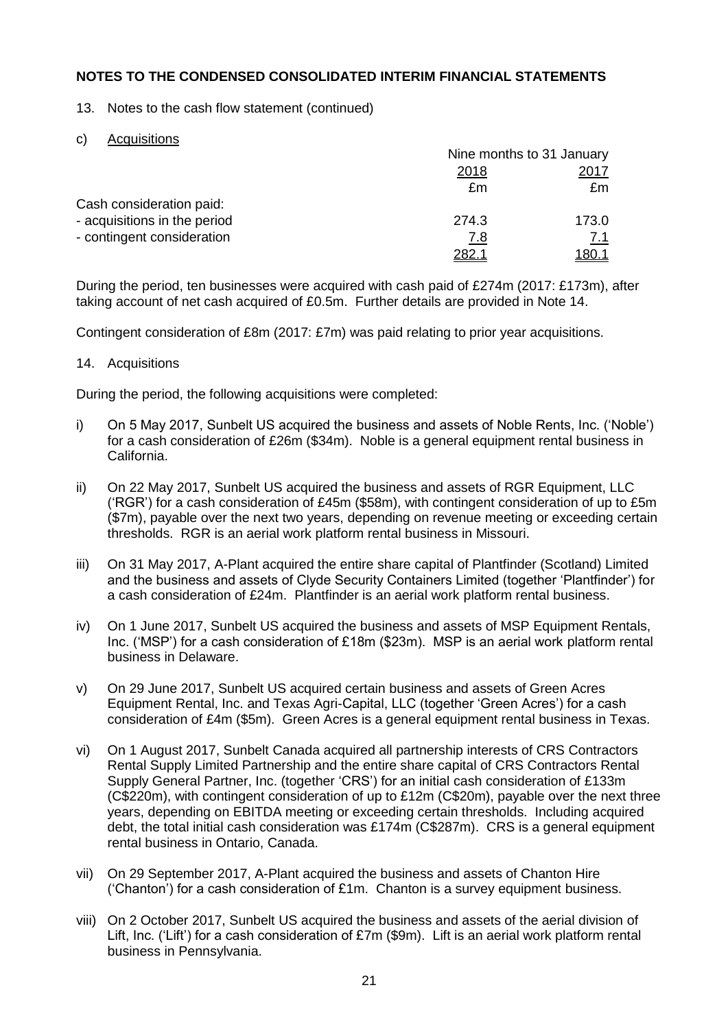13. Notes to the cash flow statement (continued)

c) Acquisitions

|                              | Nine months to 31 January |            |  |
|------------------------------|---------------------------|------------|--|
|                              | 2018                      | 2017       |  |
|                              | £m                        | £m         |  |
| Cash consideration paid:     |                           |            |  |
| - acquisitions in the period | 274.3                     | 173.0      |  |
| - contingent consideration   | 7.8                       | <u>7.1</u> |  |
|                              | 282.                      | 180.7      |  |

During the period, ten businesses were acquired with cash paid of £274m (2017: £173m), after taking account of net cash acquired of £0.5m. Further details are provided in Note 14.

Contingent consideration of £8m (2017: £7m) was paid relating to prior year acquisitions.

## 14. Acquisitions

During the period, the following acquisitions were completed:

- i) On 5 May 2017, Sunbelt US acquired the business and assets of Noble Rents, Inc. ('Noble') for a cash consideration of £26m (\$34m). Noble is a general equipment rental business in California.
- ii) On 22 May 2017, Sunbelt US acquired the business and assets of RGR Equipment, LLC ('RGR') for a cash consideration of £45m (\$58m), with contingent consideration of up to £5m (\$7m), payable over the next two years, depending on revenue meeting or exceeding certain thresholds. RGR is an aerial work platform rental business in Missouri.
- iii) On 31 May 2017, A-Plant acquired the entire share capital of Plantfinder (Scotland) Limited and the business and assets of Clyde Security Containers Limited (together 'Plantfinder') for a cash consideration of £24m. Plantfinder is an aerial work platform rental business.
- iv) On 1 June 2017, Sunbelt US acquired the business and assets of MSP Equipment Rentals, Inc. ('MSP') for a cash consideration of £18m (\$23m). MSP is an aerial work platform rental business in Delaware.
- v) On 29 June 2017, Sunbelt US acquired certain business and assets of Green Acres Equipment Rental, Inc. and Texas Agri-Capital, LLC (together 'Green Acres') for a cash consideration of £4m (\$5m). Green Acres is a general equipment rental business in Texas.
- vi) On 1 August 2017, Sunbelt Canada acquired all partnership interests of CRS Contractors Rental Supply Limited Partnership and the entire share capital of CRS Contractors Rental Supply General Partner, Inc. (together 'CRS') for an initial cash consideration of £133m (C\$220m), with contingent consideration of up to  $£12m$  (C\$20m), payable over the next three years, depending on EBITDA meeting or exceeding certain thresholds. Including acquired debt, the total initial cash consideration was £174m (C\$287m). CRS is a general equipment rental business in Ontario, Canada.
- vii) On 29 September 2017, A-Plant acquired the business and assets of Chanton Hire ('Chanton') for a cash consideration of £1m. Chanton is a survey equipment business.
- viii) On 2 October 2017, Sunbelt US acquired the business and assets of the aerial division of Lift, Inc. ('Lift') for a cash consideration of £7m (\$9m). Lift is an aerial work platform rental business in Pennsylvania.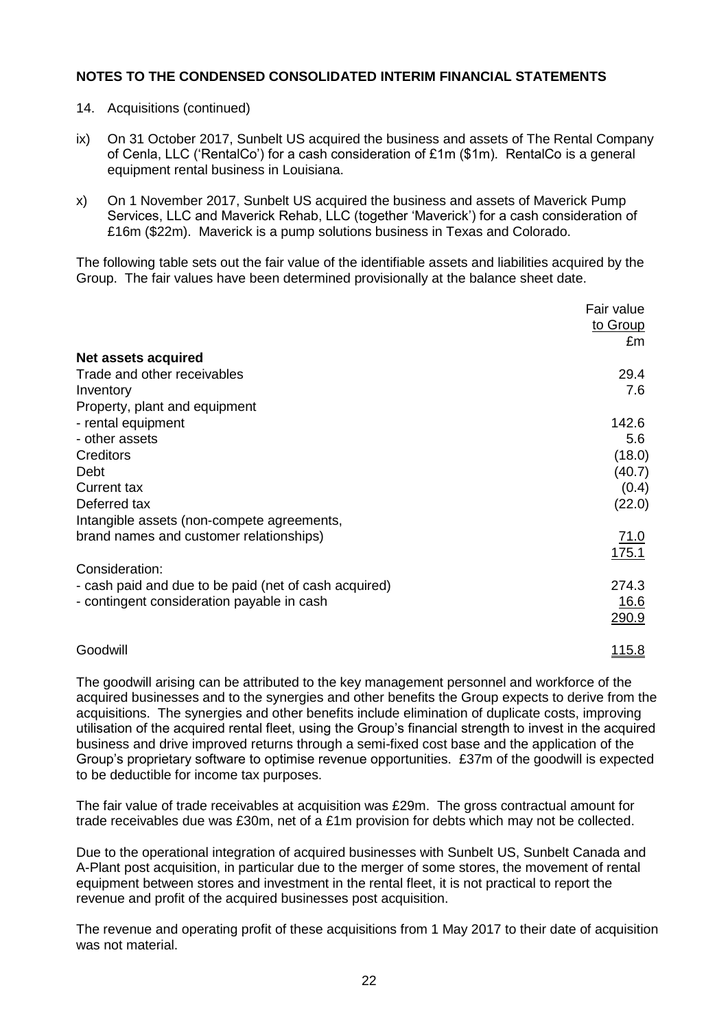- 14. Acquisitions (continued)
- ix) On 31 October 2017, Sunbelt US acquired the business and assets of The Rental Company of Cenla, LLC ('RentalCo') for a cash consideration of  $£1m$  (\$1m). RentalCo is a general equipment rental business in Louisiana.
- x) On 1 November 2017, Sunbelt US acquired the business and assets of Maverick Pump Services, LLC and Maverick Rehab, LLC (together 'Maverick') for a cash consideration of £16m (\$22m). Maverick is a pump solutions business in Texas and Colorado.

The following table sets out the fair value of the identifiable assets and liabilities acquired by the Group. The fair values have been determined provisionally at the balance sheet date.

|                                                       | Fair value<br>to Group |
|-------------------------------------------------------|------------------------|
| Net assets acquired                                   | £m                     |
|                                                       |                        |
| Trade and other receivables                           | 29.4                   |
| Inventory                                             | 7.6                    |
| Property, plant and equipment                         |                        |
| - rental equipment                                    | 142.6                  |
| - other assets                                        | 5.6                    |
| Creditors                                             | (18.0)                 |
| Debt                                                  | (40.7)                 |
| <b>Current tax</b>                                    | (0.4)                  |
| Deferred tax                                          | (22.0)                 |
|                                                       |                        |
| Intangible assets (non-compete agreements,            |                        |
| brand names and customer relationships)               | 71.0                   |
|                                                       | 175.1                  |
| Consideration:                                        |                        |
| - cash paid and due to be paid (net of cash acquired) | 274.3                  |
| - contingent consideration payable in cash            | <u> 16.6</u>           |
|                                                       | <u>290.9</u>           |
|                                                       |                        |
|                                                       |                        |

The goodwill arising can be attributed to the key management personnel and workforce of the acquired businesses and to the synergies and other benefits the Group expects to derive from the acquisitions. The synergies and other benefits include elimination of duplicate costs, improving utilisation of the acquired rental fleet, using the Group's financial strength to invest in the acquired business and drive improved returns through a semi-fixed cost base and the application of the Group's proprietary software to optimise revenue opportunities. £37m of the goodwill is expected to be deductible for income tax purposes.

Goodwill 115.8

The fair value of trade receivables at acquisition was £29m. The gross contractual amount for trade receivables due was £30m, net of a £1m provision for debts which may not be collected.

Due to the operational integration of acquired businesses with Sunbelt US, Sunbelt Canada and A-Plant post acquisition, in particular due to the merger of some stores, the movement of rental equipment between stores and investment in the rental fleet, it is not practical to report the revenue and profit of the acquired businesses post acquisition.

The revenue and operating profit of these acquisitions from 1 May 2017 to their date of acquisition was not material.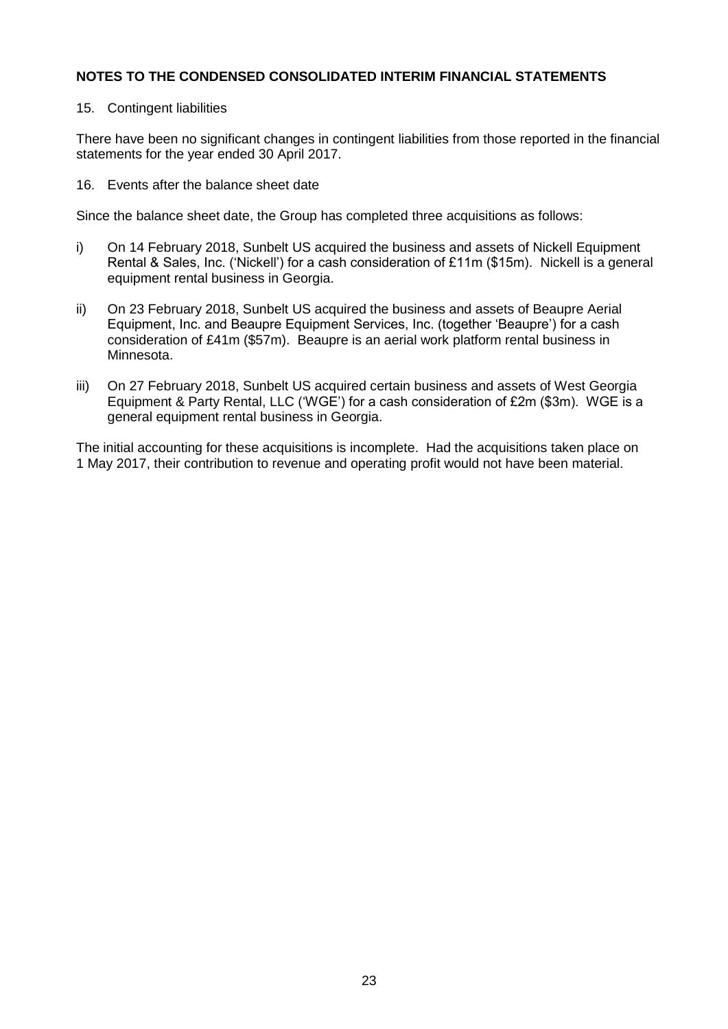## 15. Contingent liabilities

There have been no significant changes in contingent liabilities from those reported in the financial statements for the year ended 30 April 2017.

16. Events after the balance sheet date

Since the balance sheet date, the Group has completed three acquisitions as follows:

- i) On 14 February 2018, Sunbelt US acquired the business and assets of Nickell Equipment Rental & Sales, Inc. ('Nickell') for a cash consideration of £11m (\$15m). Nickell is a general equipment rental business in Georgia.
- ii) On 23 February 2018, Sunbelt US acquired the business and assets of Beaupre Aerial Equipment, Inc. and Beaupre Equipment Services, Inc. (together 'Beaupre') for a cash consideration of £41m (\$57m). Beaupre is an aerial work platform rental business in Minnesota.
- iii) On 27 February 2018, Sunbelt US acquired certain business and assets of West Georgia Equipment & Party Rental, LLC ('WGE') for a cash consideration of £2m (\$3m). WGE is a general equipment rental business in Georgia.

The initial accounting for these acquisitions is incomplete. Had the acquisitions taken place on 1 May 2017, their contribution to revenue and operating profit would not have been material.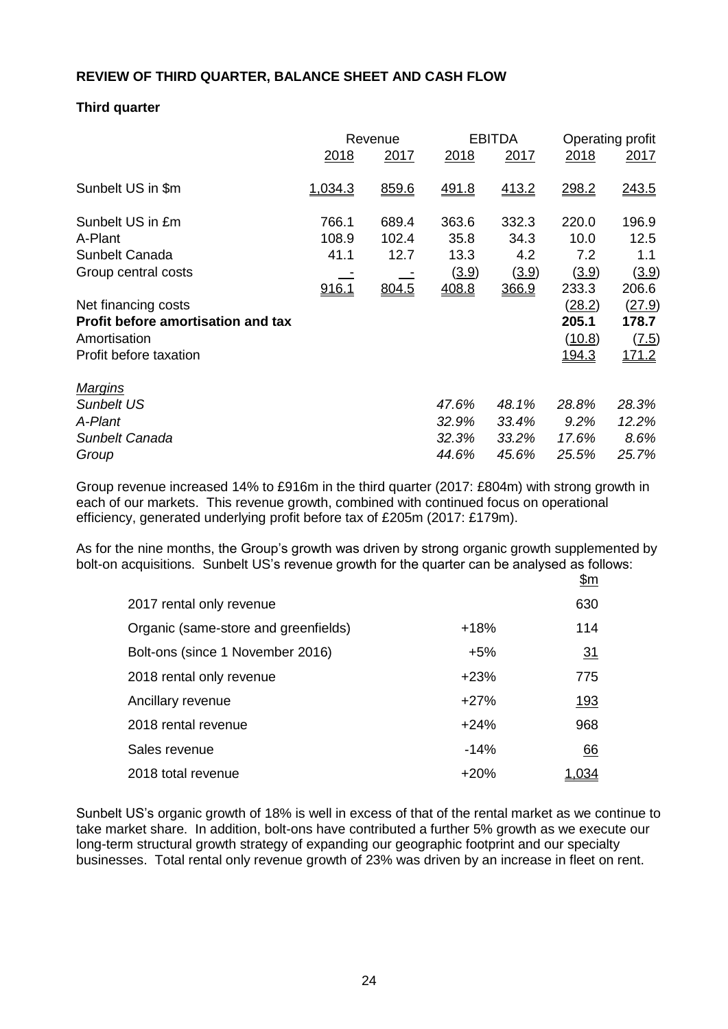# **REVIEW OF THIRD QUARTER, BALANCE SHEET AND CASH FLOW**

# **Third quarter**

|                                    | Revenue     |       | <b>EBITDA</b> |       | Operating profit |             |
|------------------------------------|-------------|-------|---------------|-------|------------------|-------------|
|                                    | <u>2018</u> | 2017  | 2018          | 2017  | 2018             | <u>2017</u> |
| Sunbelt US in \$m                  | 1,034.3     | 859.6 | 491.8         | 413.2 | 298.2            | 243.5       |
| Sunbelt US in £m                   | 766.1       | 689.4 | 363.6         | 332.3 | 220.0            | 196.9       |
| A-Plant                            | 108.9       | 102.4 | 35.8          | 34.3  | 10.0             | 12.5        |
| Sunbelt Canada                     | 41.1        | 12.7  | 13.3          | 4.2   | 7.2              | 1.1         |
| Group central costs                |             |       | (3.9)         | (3.9) | (3.9)            | (3.9)       |
|                                    | 916.1       | 804.5 | 408.8         | 366.9 | 233.3            | 206.6       |
| Net financing costs                |             |       |               |       | (28.2)           | (27.9)      |
| Profit before amortisation and tax |             |       |               |       | 205.1            | 178.7       |
| Amortisation                       |             |       |               |       | (10.8)           | (7.5)       |
| Profit before taxation             |             |       |               |       | 194.3            | 171.2       |
| <b>Margins</b>                     |             |       |               |       |                  |             |
| <b>Sunbelt US</b>                  |             |       | 47.6%         | 48.1% | 28.8%            | 28.3%       |
| A-Plant                            |             |       | 32.9%         | 33.4% | 9.2%             | 12.2%       |
| Sunbelt Canada                     |             |       | 32.3%         | 33.2% | 17.6%            | 8.6%        |
| Group                              |             |       | 44.6%         | 45.6% | 25.5%            | 25.7%       |

Group revenue increased 14% to £916m in the third quarter (2017: £804m) with strong growth in each of our markets. This revenue growth, combined with continued focus on operational efficiency, generated underlying profit before tax of £205m (2017: £179m).

As for the nine months, the Group's growth was driven by strong organic growth supplemented by bolt-on acquisitions. Sunbelt US's revenue growth for the quarter can be analysed as follows:

|                                      |        | <u>\$m</u>  |
|--------------------------------------|--------|-------------|
| 2017 rental only revenue             |        | 630         |
| Organic (same-store and greenfields) | $+18%$ | 114         |
| Bolt-ons (since 1 November 2016)     | $+5%$  | 31          |
| 2018 rental only revenue             | $+23%$ | 775         |
| Ancillary revenue                    | $+27%$ | <u> 193</u> |
| 2018 rental revenue                  | $+24%$ | 968         |
| Sales revenue                        | $-14%$ | 66          |
| 2018 total revenue                   | $+20%$ | 1.034       |

Sunbelt US's organic growth of 18% is well in excess of that of the rental market as we continue to take market share. In addition, bolt-ons have contributed a further 5% growth as we execute our long-term structural growth strategy of expanding our geographic footprint and our specialty businesses. Total rental only revenue growth of 23% was driven by an increase in fleet on rent.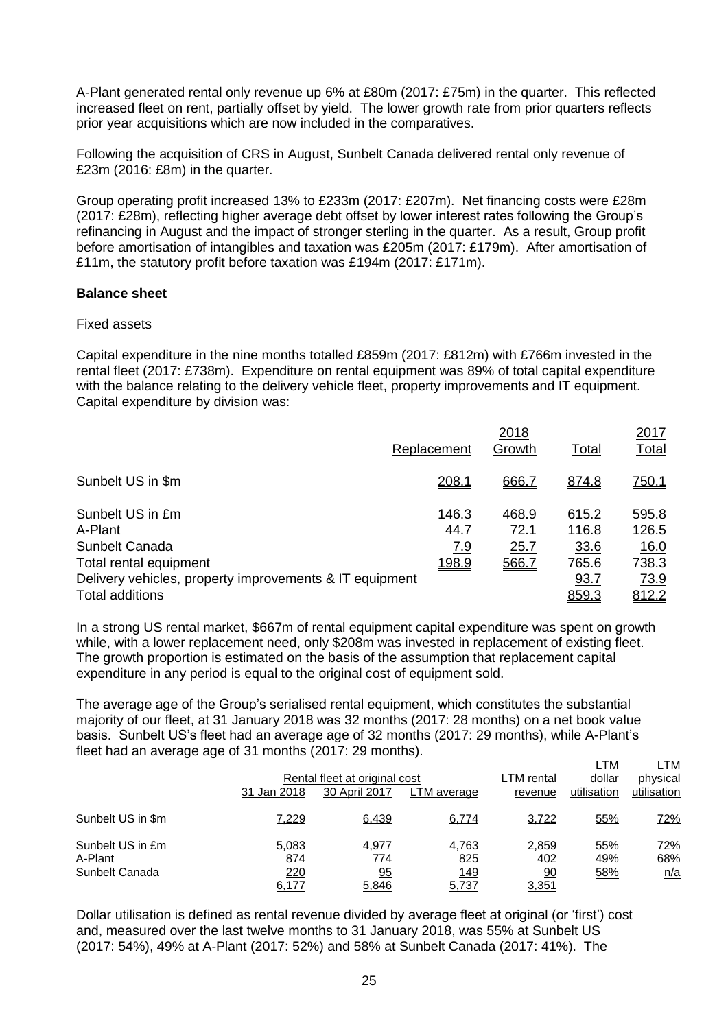A-Plant generated rental only revenue up 6% at £80m (2017: £75m) in the quarter. This reflected increased fleet on rent, partially offset by yield. The lower growth rate from prior quarters reflects prior year acquisitions which are now included in the comparatives.

Following the acquisition of CRS in August, Sunbelt Canada delivered rental only revenue of £23m (2016: £8m) in the quarter.

Group operating profit increased 13% to £233m (2017: £207m). Net financing costs were £28m (2017: £28m), reflecting higher average debt offset by lower interest rates following the Group's refinancing in August and the impact of stronger sterling in the quarter. As a result, Group profit before amortisation of intangibles and taxation was £205m (2017: £179m). After amortisation of £11m, the statutory profit before taxation was £194m (2017: £171m).

## **Balance sheet**

## Fixed assets

Capital expenditure in the nine months totalled £859m (2017: £812m) with £766m invested in the rental fleet (2017: £738m). Expenditure on rental equipment was 89% of total capital expenditure with the balance relating to the delivery vehicle fleet, property improvements and IT equipment. Capital expenditure by division was:

|                                                         | Replacement   | 2018<br>Growth | Total          | 2017<br><b>Total</b> |
|---------------------------------------------------------|---------------|----------------|----------------|----------------------|
| Sunbelt US in \$m                                       | 208.1         | 666.7          | 874.8          | <u>750.1</u>         |
| Sunbelt US in £m<br>A-Plant                             | 146.3<br>44.7 | 468.9<br>72.1  | 615.2<br>116.8 | 595.8<br>126.5       |
| Sunbelt Canada                                          | 7.9           | 25.7           | 33.6           | 16.0                 |
| Total rental equipment                                  | 198.9         | 566.7          | 765.6          | 738.3                |
| Delivery vehicles, property improvements & IT equipment |               |                | 93.7           | <u>73.9</u>          |
| <b>Total additions</b>                                  |               |                | 859.3          | 812.2                |

In a strong US rental market, \$667m of rental equipment capital expenditure was spent on growth while, with a lower replacement need, only \$208m was invested in replacement of existing fleet. The growth proportion is estimated on the basis of the assumption that replacement capital expenditure in any period is equal to the original cost of equipment sold.

The average age of the Group's serialised rental equipment, which constitutes the substantial majority of our fleet, at 31 January 2018 was 32 months (2017: 28 months) on a net book value basis. Sunbelt US's fleet had an average age of 32 months (2017: 29 months), while A-Plant's fleet had an average age of 31 months (2017: 29 months).

|                                               | 31 Jan 2018                  | Rental fleet at original cost<br>30 April 2017 | LTM average                          | LTM rental<br>revenue       | LTM<br>dollar<br>utilisation | LTM<br>physical<br>utilisation |
|-----------------------------------------------|------------------------------|------------------------------------------------|--------------------------------------|-----------------------------|------------------------------|--------------------------------|
| Sunbelt US in \$m                             | 7,229                        | 6,439                                          | 6,774                                | 3,722                       | 55%                          | 72%                            |
| Sunbelt US in £m<br>A-Plant<br>Sunbelt Canada | 5.083<br>874<br>220<br>6,177 | 4.977<br>774<br>95<br>5,846                    | 4.763<br>825<br><u> 149</u><br>5,737 | 2,859<br>402<br>90<br>3,351 | 55%<br>49%<br>58%            | 72%<br>68%<br>n/a              |

Dollar utilisation is defined as rental revenue divided by average fleet at original (or 'first') cost and, measured over the last twelve months to 31 January 2018, was 55% at Sunbelt US (2017: 54%), 49% at A-Plant (2017: 52%) and 58% at Sunbelt Canada (2017: 41%). The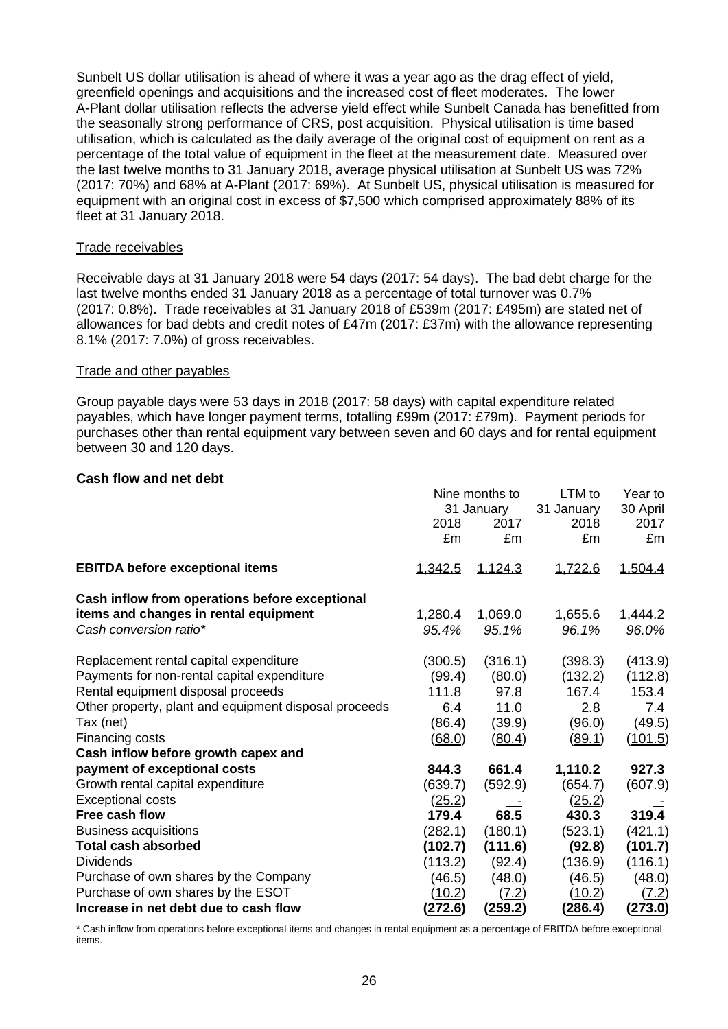Sunbelt US dollar utilisation is ahead of where it was a year ago as the drag effect of yield, greenfield openings and acquisitions and the increased cost of fleet moderates. The lower A-Plant dollar utilisation reflects the adverse yield effect while Sunbelt Canada has benefitted from the seasonally strong performance of CRS, post acquisition. Physical utilisation is time based utilisation, which is calculated as the daily average of the original cost of equipment on rent as a percentage of the total value of equipment in the fleet at the measurement date. Measured over the last twelve months to 31 January 2018, average physical utilisation at Sunbelt US was 72% (2017: 70%) and 68% at A-Plant (2017: 69%). At Sunbelt US, physical utilisation is measured for equipment with an original cost in excess of \$7,500 which comprised approximately 88% of its fleet at 31 January 2018.

## Trade receivables

Receivable days at 31 January 2018 were 54 days (2017: 54 days). The bad debt charge for the last twelve months ended 31 January 2018 as a percentage of total turnover was 0.7% (2017: 0.8%). Trade receivables at 31 January 2018 of £539m (2017: £495m) are stated net of allowances for bad debts and credit notes of £47m (2017: £37m) with the allowance representing 8.1% (2017: 7.0%) of gross receivables.

#### Trade and other payables

Group payable days were 53 days in 2018 (2017: 58 days) with capital expenditure related payables, which have longer payment terms, totalling £99m (2017: £79m). Payment periods for purchases other than rental equipment vary between seven and 60 days and for rental equipment between 30 and 120 days.

## **Cash flow and net debt**

|                                                                                                                   | <u>2018</u><br>£m | Nine months to<br>31 January<br>2017<br>£m | LTM to<br>31 January<br><u>2018</u><br>£m | Year to<br>30 April<br><u> 2017 </u><br>£m |
|-------------------------------------------------------------------------------------------------------------------|-------------------|--------------------------------------------|-------------------------------------------|--------------------------------------------|
| <b>EBITDA before exceptional items</b>                                                                            | 1,342.5           | 1,124.3                                    | 1,722.6                                   | 1,504.4                                    |
| Cash inflow from operations before exceptional<br>items and changes in rental equipment<br>Cash conversion ratio* | 1,280.4<br>95.4%  | 1,069.0<br>95.1%                           | 1,655.6<br>96.1%                          | 1,444.2<br>96.0%                           |
| Replacement rental capital expenditure<br>Payments for non-rental capital expenditure                             | (300.5)<br>(99.4) | (316.1)<br>(80.0)                          | (398.3)<br>(132.2)                        | (413.9)<br>(112.8)                         |
| Rental equipment disposal proceeds                                                                                | 111.8             | 97.8                                       | 167.4                                     | 153.4                                      |
| Other property, plant and equipment disposal proceeds                                                             | 6.4               | 11.0                                       | 2.8                                       | 7.4                                        |
| Tax (net)                                                                                                         | (86.4)            | (39.9)                                     | (96.0)                                    | (49.5)                                     |
| Financing costs                                                                                                   | <u>(68.0)</u>     | (80.4)                                     | <u>(89.1)</u>                             | (101.5)                                    |
| Cash inflow before growth capex and                                                                               |                   |                                            |                                           |                                            |
| payment of exceptional costs                                                                                      | 844.3             | 661.4                                      | 1,110.2                                   | 927.3                                      |
| Growth rental capital expenditure                                                                                 | (639.7)           | (592.9)                                    | (654.7)                                   | (607.9)                                    |
| <b>Exceptional costs</b>                                                                                          | (25.2)            |                                            | (25.2)                                    |                                            |
| Free cash flow                                                                                                    | 179.4             | 68.5                                       | 430.3                                     | 319.4                                      |
| <b>Business acquisitions</b>                                                                                      | <u>(282.1)</u>    | (180.1)                                    | <u>(523.1)</u>                            | (421.1)                                    |
| <b>Total cash absorbed</b>                                                                                        | (102.7)           | (111.6)                                    | (92.8)                                    | (101.7)                                    |
| <b>Dividends</b>                                                                                                  | (113.2)           | (92.4)                                     | (136.9)                                   | (116.1)                                    |
| Purchase of own shares by the Company                                                                             | (46.5)            | (48.0)                                     | (46.5)                                    | (48.0)                                     |
| Purchase of own shares by the ESOT                                                                                | (10.2)            | (7.2)                                      | (10.2)                                    | <u>(7.2)</u>                               |
| Increase in net debt due to cash flow                                                                             | 272.6)            | <u>(259.2)</u>                             | <u>(286.4)</u>                            | <u>(273.0)</u>                             |

\* Cash inflow from operations before exceptional items and changes in rental equipment as a percentage of EBITDA before exceptional items.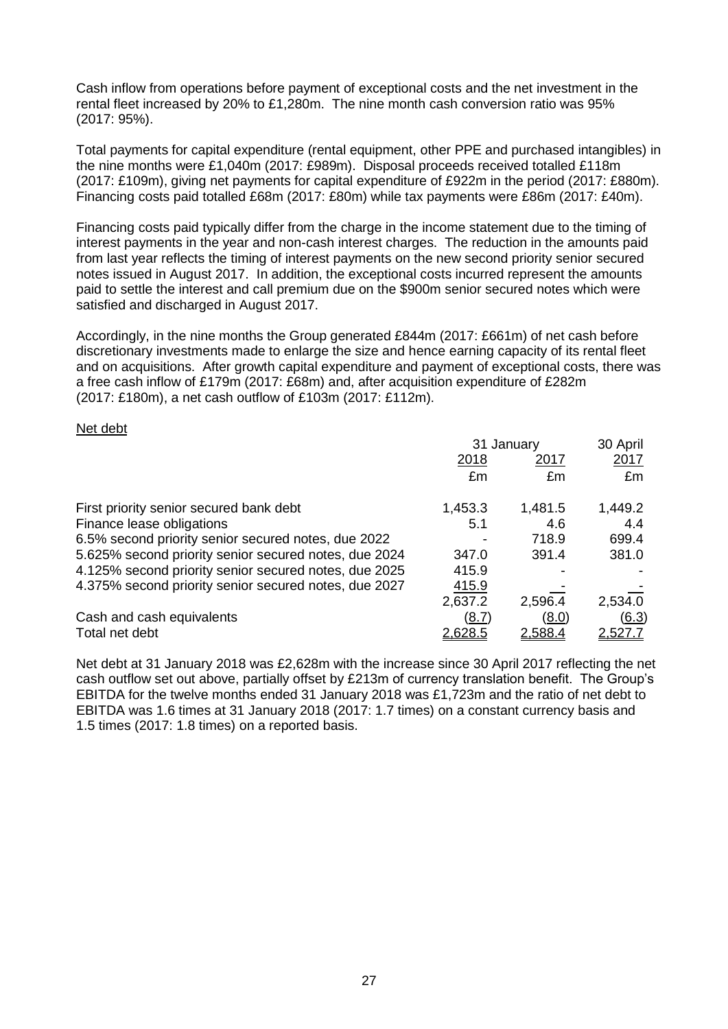Cash inflow from operations before payment of exceptional costs and the net investment in the rental fleet increased by 20% to £1,280m. The nine month cash conversion ratio was 95% (2017: 95%).

Total payments for capital expenditure (rental equipment, other PPE and purchased intangibles) in the nine months were £1,040m (2017: £989m). Disposal proceeds received totalled £118m (2017: £109m), giving net payments for capital expenditure of £922m in the period (2017: £880m). Financing costs paid totalled £68m (2017: £80m) while tax payments were £86m (2017: £40m).

Financing costs paid typically differ from the charge in the income statement due to the timing of interest payments in the year and non-cash interest charges. The reduction in the amounts paid from last year reflects the timing of interest payments on the new second priority senior secured notes issued in August 2017. In addition, the exceptional costs incurred represent the amounts paid to settle the interest and call premium due on the \$900m senior secured notes which were satisfied and discharged in August 2017.

Accordingly, in the nine months the Group generated £844m (2017: £661m) of net cash before discretionary investments made to enlarge the size and hence earning capacity of its rental fleet and on acquisitions. After growth capital expenditure and payment of exceptional costs, there was a free cash inflow of £179m (2017: £68m) and, after acquisition expenditure of £282m (2017: £180m), a net cash outflow of £103m (2017: £112m).

#### Net debt

|                                                       | 31 January     | 30 April       |                |
|-------------------------------------------------------|----------------|----------------|----------------|
|                                                       | 2018           | 2017           | 2017           |
|                                                       | £m             | £m             | £m             |
| First priority senior secured bank debt               | 1,453.3        | 1,481.5        | 1,449.2        |
| Finance lease obligations                             | 5.1            | 4.6            | 4.4            |
| 6.5% second priority senior secured notes, due 2022   |                | 718.9          | 699.4          |
| 5.625% second priority senior secured notes, due 2024 | 347.0          | 391.4          | 381.0          |
| 4.125% second priority senior secured notes, due 2025 | 415.9          |                |                |
| 4.375% second priority senior secured notes, due 2027 | 415.9          |                |                |
|                                                       | 2,637.2        | 2,596.4        | 2,534.0        |
| Cash and cash equivalents                             | <u>(8.7)</u>   | (8.0)          | (6.3)          |
| Total net debt                                        | <u>2.628.5</u> | <u>2,588.4</u> | <u>2.527.7</u> |

Net debt at 31 January 2018 was £2,628m with the increase since 30 April 2017 reflecting the net cash outflow set out above, partially offset by £213m of currency translation benefit. The Group's EBITDA for the twelve months ended 31 January 2018 was £1,723m and the ratio of net debt to EBITDA was 1.6 times at 31 January 2018 (2017: 1.7 times) on a constant currency basis and 1.5 times (2017: 1.8 times) on a reported basis.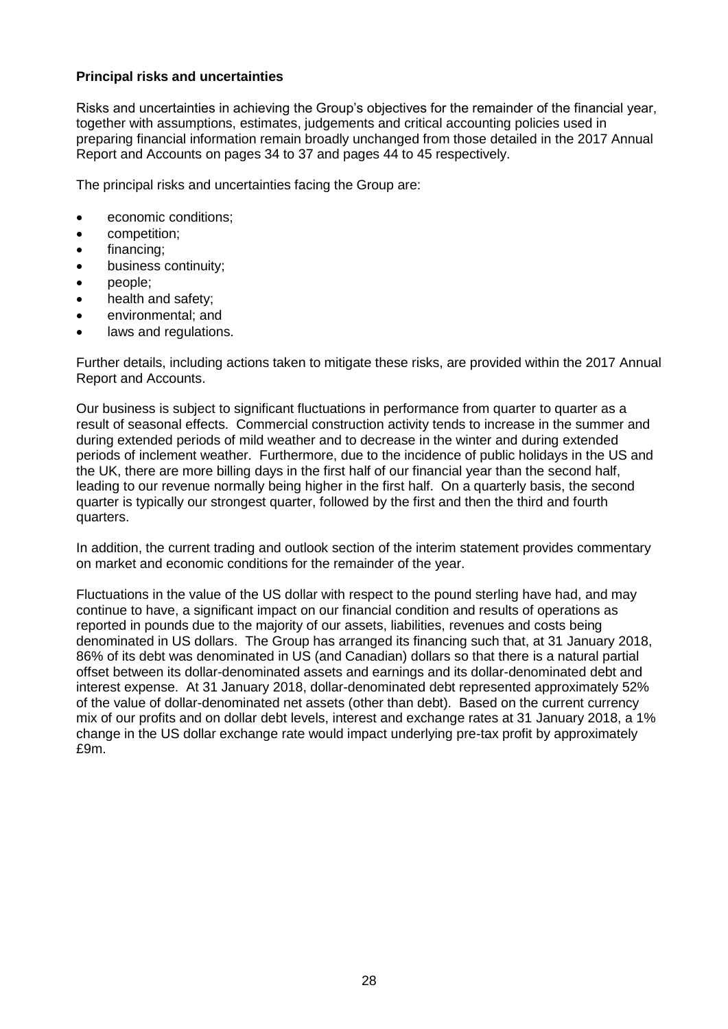# **Principal risks and uncertainties**

Risks and uncertainties in achieving the Group's objectives for the remainder of the financial year, together with assumptions, estimates, judgements and critical accounting policies used in preparing financial information remain broadly unchanged from those detailed in the 2017 Annual Report and Accounts on pages 34 to 37 and pages 44 to 45 respectively.

The principal risks and uncertainties facing the Group are:

- economic conditions;
- competition;
- financing;
- business continuity;
- people;
- health and safety;
- environmental; and
- laws and regulations.

Further details, including actions taken to mitigate these risks, are provided within the 2017 Annual Report and Accounts.

Our business is subject to significant fluctuations in performance from quarter to quarter as a result of seasonal effects. Commercial construction activity tends to increase in the summer and during extended periods of mild weather and to decrease in the winter and during extended periods of inclement weather. Furthermore, due to the incidence of public holidays in the US and the UK, there are more billing days in the first half of our financial year than the second half, leading to our revenue normally being higher in the first half. On a quarterly basis, the second quarter is typically our strongest quarter, followed by the first and then the third and fourth quarters.

In addition, the current trading and outlook section of the interim statement provides commentary on market and economic conditions for the remainder of the year.

Fluctuations in the value of the US dollar with respect to the pound sterling have had, and may continue to have, a significant impact on our financial condition and results of operations as reported in pounds due to the majority of our assets, liabilities, revenues and costs being denominated in US dollars. The Group has arranged its financing such that, at 31 January 2018, 86% of its debt was denominated in US (and Canadian) dollars so that there is a natural partial offset between its dollar-denominated assets and earnings and its dollar-denominated debt and interest expense. At 31 January 2018, dollar-denominated debt represented approximately 52% of the value of dollar-denominated net assets (other than debt). Based on the current currency mix of our profits and on dollar debt levels, interest and exchange rates at 31 January 2018, a 1% change in the US dollar exchange rate would impact underlying pre-tax profit by approximately £9m.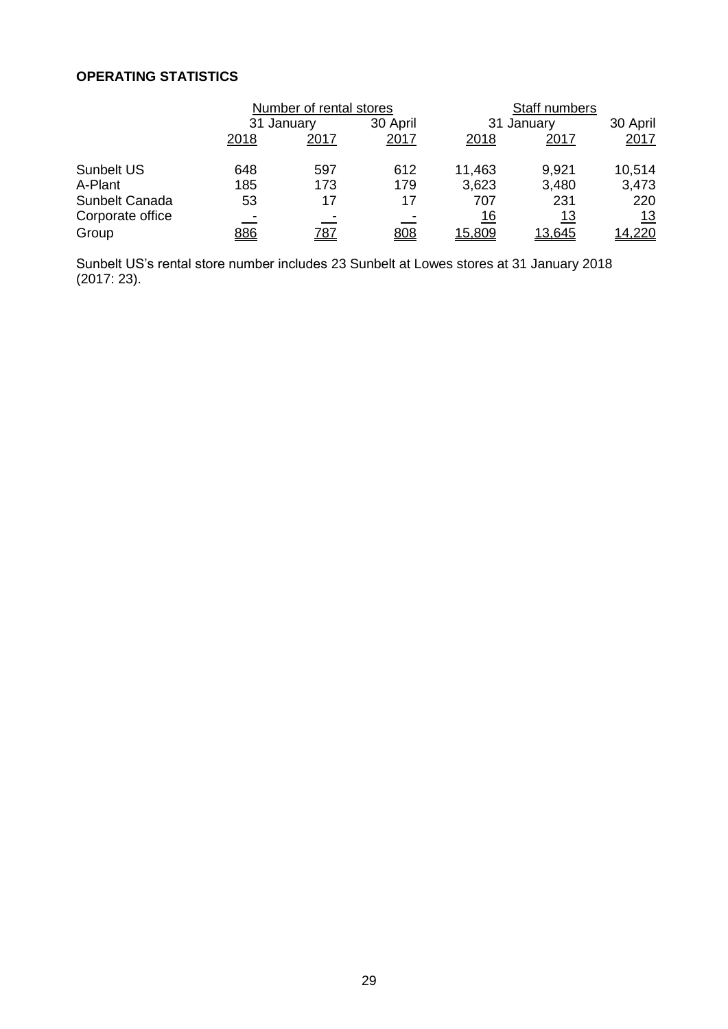# **OPERATING STATISTICS**

|                  |            | Number of rental stores |      |            | Staff numbers |            |
|------------------|------------|-------------------------|------|------------|---------------|------------|
|                  |            | 31 January              |      |            | 31 January    |            |
|                  | 2018       | 2017                    | 2017 | 2018       | 2017          | 2017       |
| Sunbelt US       | 648        | 597                     | 612  | 11,463     | 9,921         | 10,514     |
| A-Plant          | 185        | 173                     | 179  | 3,623      | 3,480         | 3,473      |
| Sunbelt Canada   | 53         | 17                      | 17   | 707        | 231           | 220        |
| Corporate office |            |                         |      | <u> 16</u> | <u> 13</u>    | <u> 13</u> |
| Group            | <u>886</u> | <u>787</u>              | 808  | 15,809     | 13,645        | 14,220     |

Sunbelt US's rental store number includes 23 Sunbelt at Lowes stores at 31 January 2018 (2017: 23).